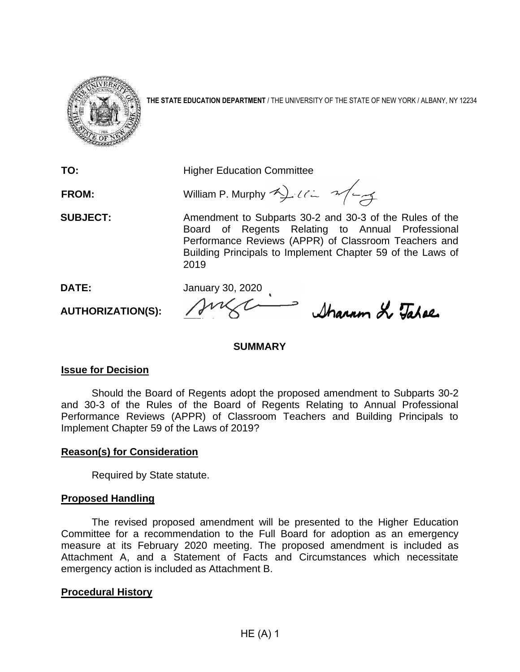

**THE STATE EDUCATION DEPARTMENT** / THE UNIVERSITY OF THE STATE OF NEW YORK / ALBANY, NY 12234

**TO:** Higher Education Committee

**FROM:** William P. Murphy 4) ULL 2/4

**SUBJECT:** Amendment to Subparts 30-2 and 30-3 of the Rules of the Board of Regents Relating to Annual Professional Performance Reviews (APPR) of Classroom Teachers and Building Principals to Implement Chapter 59 of the Laws of 2019

**DATE:** January 30, 2020

Sharam & Tahae

# **SUMMARY**

# **Issue for Decision**

**AUTHORIZATION(S):**

Should the Board of Regents adopt the proposed amendment to Subparts 30-2 and 30-3 of the Rules of the Board of Regents Relating to Annual Professional Performance Reviews (APPR) of Classroom Teachers and Building Principals to Implement Chapter 59 of the Laws of 2019?

# **Reason(s) for Consideration**

Required by State statute.

# **Proposed Handling**

The revised proposed amendment will be presented to the Higher Education Committee for a recommendation to the Full Board for adoption as an emergency measure at its February 2020 meeting. The proposed amendment is included as Attachment A, and a Statement of Facts and Circumstances which necessitate emergency action is included as Attachment B.

# **Procedural History**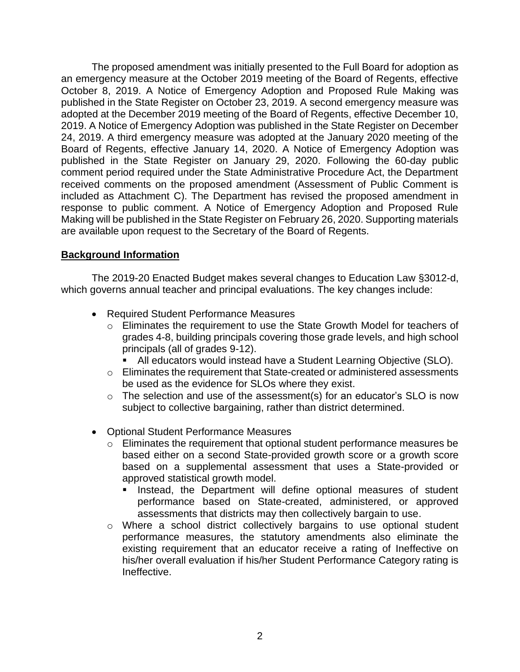The proposed amendment was initially presented to the Full Board for adoption as an emergency measure at the October 2019 meeting of the Board of Regents, effective October 8, 2019. A Notice of Emergency Adoption and Proposed Rule Making was published in the State Register on October 23, 2019. A second emergency measure was adopted at the December 2019 meeting of the Board of Regents, effective December 10, 2019. A Notice of Emergency Adoption was published in the State Register on December 24, 2019. A third emergency measure was adopted at the January 2020 meeting of the Board of Regents, effective January 14, 2020. A Notice of Emergency Adoption was published in the State Register on January 29, 2020. Following the 60-day public comment period required under the State Administrative Procedure Act, the Department received comments on the proposed amendment (Assessment of Public Comment is included as Attachment C). The Department has revised the proposed amendment in response to public comment. A Notice of Emergency Adoption and Proposed Rule Making will be published in the State Register on February 26, 2020. Supporting materials are available upon request to the Secretary of the Board of Regents.

## **Background Information**

The 2019-20 Enacted Budget makes several changes to Education Law §3012-d, which governs annual teacher and principal evaluations. The key changes include:

- Required Student Performance Measures
	- o Eliminates the requirement to use the State Growth Model for teachers of grades 4-8, building principals covering those grade levels, and high school principals (all of grades 9-12).
		- All educators would instead have a Student Learning Objective (SLO).
	- o Eliminates the requirement that State-created or administered assessments be used as the evidence for SLOs where they exist.
	- o The selection and use of the assessment(s) for an educator's SLO is now subject to collective bargaining, rather than district determined.
- Optional Student Performance Measures
	- o Eliminates the requirement that optional student performance measures be based either on a second State-provided growth score or a growth score based on a supplemental assessment that uses a State-provided or approved statistical growth model.
		- **EXTER** Instead, the Department will define optional measures of student performance based on State-created, administered, or approved assessments that districts may then collectively bargain to use.
	- o Where a school district collectively bargains to use optional student performance measures, the statutory amendments also eliminate the existing requirement that an educator receive a rating of Ineffective on his/her overall evaluation if his/her Student Performance Category rating is Ineffective.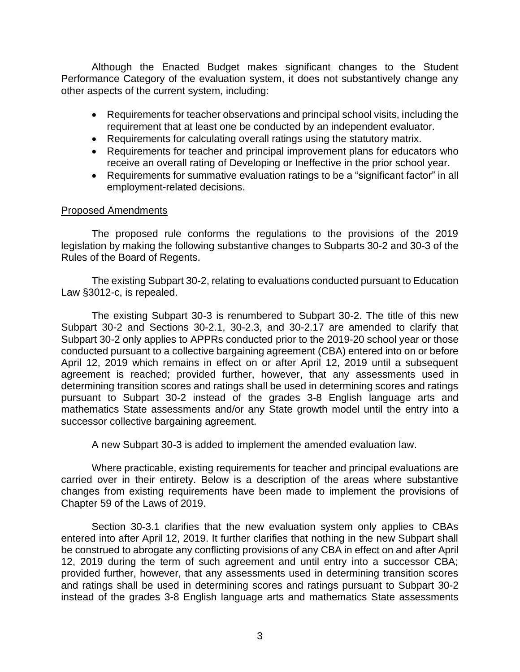Although the Enacted Budget makes significant changes to the Student Performance Category of the evaluation system, it does not substantively change any other aspects of the current system, including:

- Requirements for teacher observations and principal school visits, including the requirement that at least one be conducted by an independent evaluator.
- Requirements for calculating overall ratings using the statutory matrix.
- Requirements for teacher and principal improvement plans for educators who receive an overall rating of Developing or Ineffective in the prior school year.
- Requirements for summative evaluation ratings to be a "significant factor" in all employment-related decisions.

#### Proposed Amendments

The proposed rule conforms the regulations to the provisions of the 2019 legislation by making the following substantive changes to Subparts 30-2 and 30-3 of the Rules of the Board of Regents.

The existing Subpart 30-2, relating to evaluations conducted pursuant to Education Law §3012-c, is repealed.

The existing Subpart 30-3 is renumbered to Subpart 30-2. The title of this new Subpart 30-2 and Sections 30-2.1, 30-2.3, and 30-2.17 are amended to clarify that Subpart 30-2 only applies to APPRs conducted prior to the 2019-20 school year or those conducted pursuant to a collective bargaining agreement (CBA) entered into on or before April 12, 2019 which remains in effect on or after April 12, 2019 until a subsequent agreement is reached; provided further, however, that any assessments used in determining transition scores and ratings shall be used in determining scores and ratings pursuant to Subpart 30-2 instead of the grades 3-8 English language arts and mathematics State assessments and/or any State growth model until the entry into a successor collective bargaining agreement.

A new Subpart 30-3 is added to implement the amended evaluation law.

Where practicable, existing requirements for teacher and principal evaluations are carried over in their entirety. Below is a description of the areas where substantive changes from existing requirements have been made to implement the provisions of Chapter 59 of the Laws of 2019.

Section 30-3.1 clarifies that the new evaluation system only applies to CBAs entered into after April 12, 2019. It further clarifies that nothing in the new Subpart shall be construed to abrogate any conflicting provisions of any CBA in effect on and after April 12, 2019 during the term of such agreement and until entry into a successor CBA; provided further, however, that any assessments used in determining transition scores and ratings shall be used in determining scores and ratings pursuant to Subpart 30-2 instead of the grades 3-8 English language arts and mathematics State assessments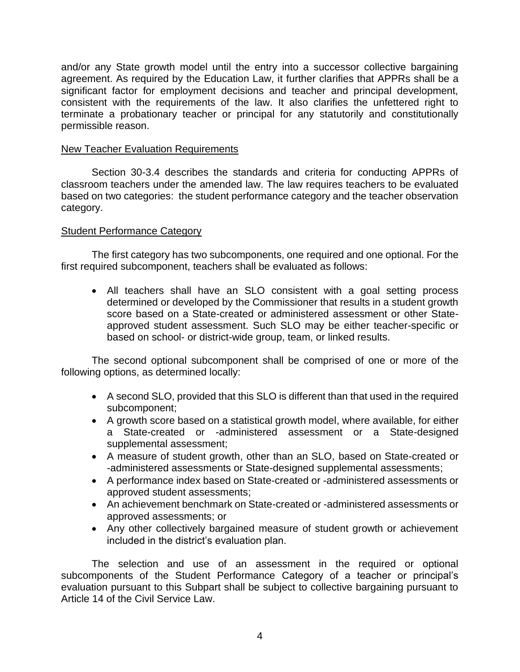and/or any State growth model until the entry into a successor collective bargaining agreement. As required by the Education Law, it further clarifies that APPRs shall be a significant factor for employment decisions and teacher and principal development, consistent with the requirements of the law. It also clarifies the unfettered right to terminate a probationary teacher or principal for any statutorily and constitutionally permissible reason.

#### New Teacher Evaluation Requirements

Section 30-3.4 describes the standards and criteria for conducting APPRs of classroom teachers under the amended law. The law requires teachers to be evaluated based on two categories: the student performance category and the teacher observation category.

#### Student Performance Category

The first category has two subcomponents, one required and one optional. For the first required subcomponent, teachers shall be evaluated as follows:

• All teachers shall have an SLO consistent with a goal setting process determined or developed by the Commissioner that results in a student growth score based on a State-created or administered assessment or other Stateapproved student assessment. Such SLO may be either teacher-specific or based on school- or district-wide group, team, or linked results.

The second optional subcomponent shall be comprised of one or more of the following options, as determined locally:

- A second SLO, provided that this SLO is different than that used in the required subcomponent;
- A growth score based on a statistical growth model, where available, for either a State-created or -administered assessment or a State-designed supplemental assessment;
- A measure of student growth, other than an SLO, based on State-created or -administered assessments or State-designed supplemental assessments;
- A performance index based on State-created or -administered assessments or approved student assessments;
- An achievement benchmark on State-created or -administered assessments or approved assessments; or
- Any other collectively bargained measure of student growth or achievement included in the district's evaluation plan.

The selection and use of an assessment in the required or optional subcomponents of the Student Performance Category of a teacher or principal's evaluation pursuant to this Subpart shall be subject to collective bargaining pursuant to Article 14 of the Civil Service Law.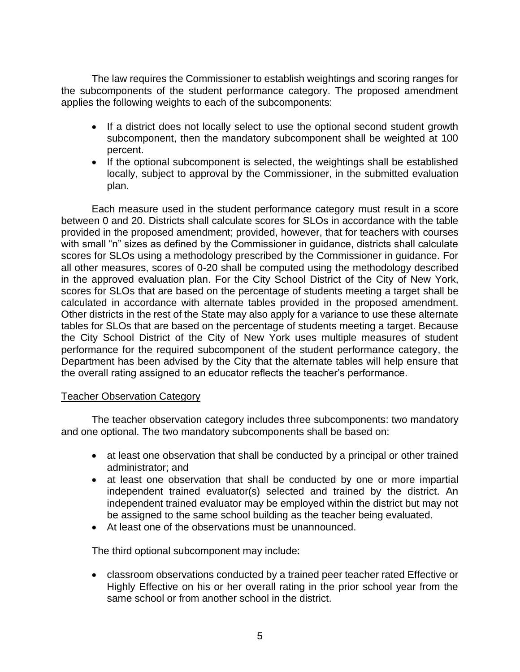The law requires the Commissioner to establish weightings and scoring ranges for the subcomponents of the student performance category. The proposed amendment applies the following weights to each of the subcomponents:

- If a district does not locally select to use the optional second student growth subcomponent, then the mandatory subcomponent shall be weighted at 100 percent.
- If the optional subcomponent is selected, the weightings shall be established locally, subject to approval by the Commissioner, in the submitted evaluation plan.

Each measure used in the student performance category must result in a score between 0 and 20. Districts shall calculate scores for SLOs in accordance with the table provided in the proposed amendment; provided, however, that for teachers with courses with small "n" sizes as defined by the Commissioner in guidance, districts shall calculate scores for SLOs using a methodology prescribed by the Commissioner in guidance. For all other measures, scores of 0-20 shall be computed using the methodology described in the approved evaluation plan. For the City School District of the City of New York, scores for SLOs that are based on the percentage of students meeting a target shall be calculated in accordance with alternate tables provided in the proposed amendment. Other districts in the rest of the State may also apply for a variance to use these alternate tables for SLOs that are based on the percentage of students meeting a target. Because the City School District of the City of New York uses multiple measures of student performance for the required subcomponent of the student performance category, the Department has been advised by the City that the alternate tables will help ensure that the overall rating assigned to an educator reflects the teacher's performance.

## Teacher Observation Category

The teacher observation category includes three subcomponents: two mandatory and one optional. The two mandatory subcomponents shall be based on:

- at least one observation that shall be conducted by a principal or other trained administrator; and
- at least one observation that shall be conducted by one or more impartial independent trained evaluator(s) selected and trained by the district. An independent trained evaluator may be employed within the district but may not be assigned to the same school building as the teacher being evaluated.
- At least one of the observations must be unannounced.

The third optional subcomponent may include:

• classroom observations conducted by a trained peer teacher rated Effective or Highly Effective on his or her overall rating in the prior school year from the same school or from another school in the district.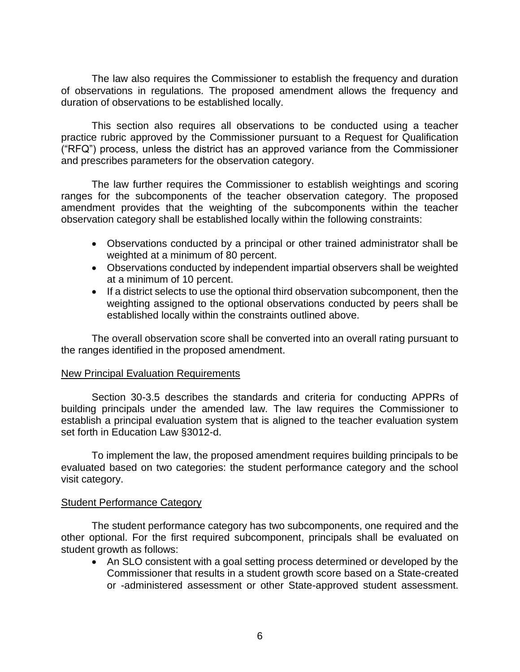The law also requires the Commissioner to establish the frequency and duration of observations in regulations. The proposed amendment allows the frequency and duration of observations to be established locally.

This section also requires all observations to be conducted using a teacher practice rubric approved by the Commissioner pursuant to a Request for Qualification ("RFQ") process, unless the district has an approved variance from the Commissioner and prescribes parameters for the observation category.

The law further requires the Commissioner to establish weightings and scoring ranges for the subcomponents of the teacher observation category. The proposed amendment provides that the weighting of the subcomponents within the teacher observation category shall be established locally within the following constraints:

- Observations conducted by a principal or other trained administrator shall be weighted at a minimum of 80 percent.
- Observations conducted by independent impartial observers shall be weighted at a minimum of 10 percent.
- If a district selects to use the optional third observation subcomponent, then the weighting assigned to the optional observations conducted by peers shall be established locally within the constraints outlined above.

The overall observation score shall be converted into an overall rating pursuant to the ranges identified in the proposed amendment.

#### New Principal Evaluation Requirements

Section 30-3.5 describes the standards and criteria for conducting APPRs of building principals under the amended law. The law requires the Commissioner to establish a principal evaluation system that is aligned to the teacher evaluation system set forth in Education Law §3012-d.

To implement the law, the proposed amendment requires building principals to be evaluated based on two categories: the student performance category and the school visit category.

#### Student Performance Category

The student performance category has two subcomponents, one required and the other optional. For the first required subcomponent, principals shall be evaluated on student growth as follows:

• An SLO consistent with a goal setting process determined or developed by the Commissioner that results in a student growth score based on a State-created or -administered assessment or other State-approved student assessment.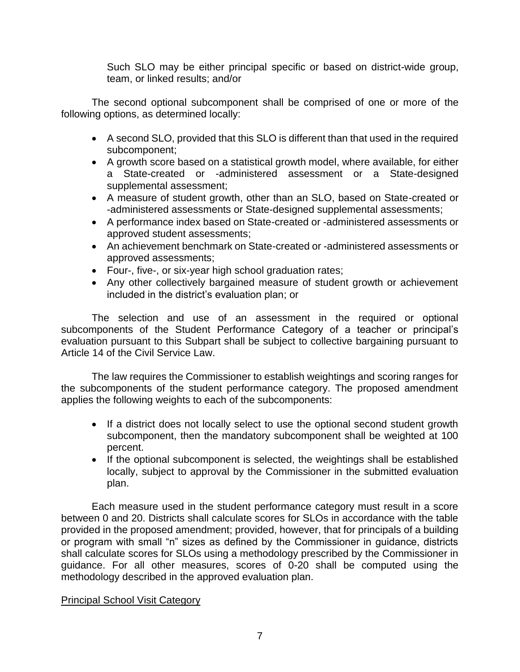Such SLO may be either principal specific or based on district-wide group, team, or linked results; and/or

The second optional subcomponent shall be comprised of one or more of the following options, as determined locally:

- A second SLO, provided that this SLO is different than that used in the required subcomponent;
- A growth score based on a statistical growth model, where available, for either a State-created or -administered assessment or a State-designed supplemental assessment;
- A measure of student growth, other than an SLO, based on State-created or -administered assessments or State-designed supplemental assessments;
- A performance index based on State-created or -administered assessments or approved student assessments;
- An achievement benchmark on State-created or -administered assessments or approved assessments;
- Four-, five-, or six-year high school graduation rates;
- Any other collectively bargained measure of student growth or achievement included in the district's evaluation plan; or

The selection and use of an assessment in the required or optional subcomponents of the Student Performance Category of a teacher or principal's evaluation pursuant to this Subpart shall be subject to collective bargaining pursuant to Article 14 of the Civil Service Law.

The law requires the Commissioner to establish weightings and scoring ranges for the subcomponents of the student performance category. The proposed amendment applies the following weights to each of the subcomponents:

- If a district does not locally select to use the optional second student growth subcomponent, then the mandatory subcomponent shall be weighted at 100 percent.
- If the optional subcomponent is selected, the weightings shall be established locally, subject to approval by the Commissioner in the submitted evaluation plan.

Each measure used in the student performance category must result in a score between 0 and 20. Districts shall calculate scores for SLOs in accordance with the table provided in the proposed amendment; provided, however, that for principals of a building or program with small "n" sizes as defined by the Commissioner in guidance, districts shall calculate scores for SLOs using a methodology prescribed by the Commissioner in guidance. For all other measures, scores of 0-20 shall be computed using the methodology described in the approved evaluation plan.

# Principal School Visit Category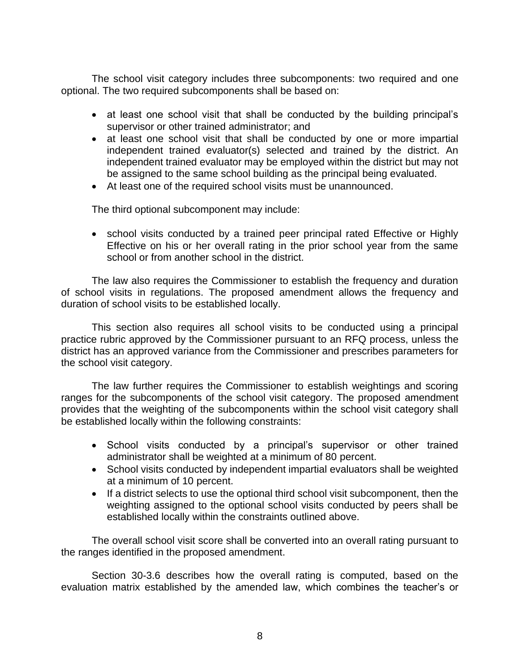The school visit category includes three subcomponents: two required and one optional. The two required subcomponents shall be based on:

- at least one school visit that shall be conducted by the building principal's supervisor or other trained administrator; and
- at least one school visit that shall be conducted by one or more impartial independent trained evaluator(s) selected and trained by the district. An independent trained evaluator may be employed within the district but may not be assigned to the same school building as the principal being evaluated.
- At least one of the required school visits must be unannounced.

The third optional subcomponent may include:

• school visits conducted by a trained peer principal rated Effective or Highly Effective on his or her overall rating in the prior school year from the same school or from another school in the district.

The law also requires the Commissioner to establish the frequency and duration of school visits in regulations. The proposed amendment allows the frequency and duration of school visits to be established locally.

This section also requires all school visits to be conducted using a principal practice rubric approved by the Commissioner pursuant to an RFQ process, unless the district has an approved variance from the Commissioner and prescribes parameters for the school visit category.

The law further requires the Commissioner to establish weightings and scoring ranges for the subcomponents of the school visit category. The proposed amendment provides that the weighting of the subcomponents within the school visit category shall be established locally within the following constraints:

- School visits conducted by a principal's supervisor or other trained administrator shall be weighted at a minimum of 80 percent.
- School visits conducted by independent impartial evaluators shall be weighted at a minimum of 10 percent.
- If a district selects to use the optional third school visit subcomponent, then the weighting assigned to the optional school visits conducted by peers shall be established locally within the constraints outlined above.

The overall school visit score shall be converted into an overall rating pursuant to the ranges identified in the proposed amendment.

Section 30-3.6 describes how the overall rating is computed, based on the evaluation matrix established by the amended law, which combines the teacher's or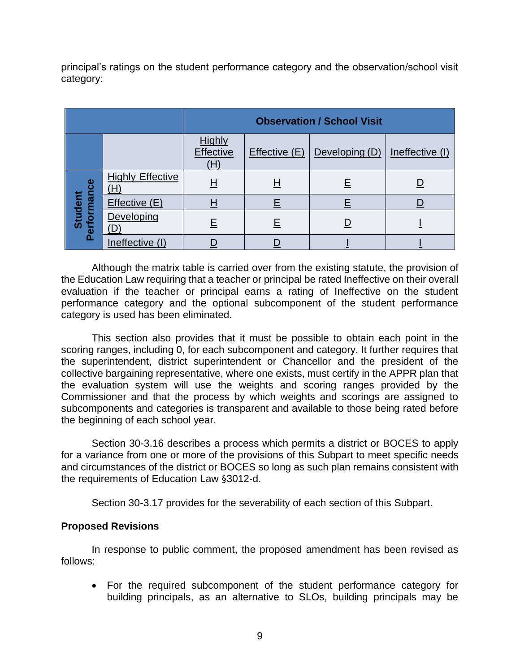principal's ratings on the student performance category and the observation/school visit category:

|                        |                         | <b>Observation / School Visit</b> |              |                |                 |
|------------------------|-------------------------|-----------------------------------|--------------|----------------|-----------------|
|                        |                         | Highly<br><b>Effective</b><br>(H) | Effective(E) | Developing (D) | Ineffective (I) |
|                        | <b>Highly Effective</b> | <u>н</u>                          | <u>H</u>     | <u>E</u>       |                 |
|                        | Effective (E)           | Η                                 | <u>E</u>     |                |                 |
| Performance<br>Student | Developing              | E                                 | Ε            |                |                 |
|                        | Ineffective (I)         |                                   |              |                |                 |

Although the matrix table is carried over from the existing statute, the provision of the Education Law requiring that a teacher or principal be rated Ineffective on their overall evaluation if the teacher or principal earns a rating of Ineffective on the student performance category and the optional subcomponent of the student performance category is used has been eliminated.

This section also provides that it must be possible to obtain each point in the scoring ranges, including 0, for each subcomponent and category. It further requires that the superintendent, district superintendent or Chancellor and the president of the collective bargaining representative, where one exists, must certify in the APPR plan that the evaluation system will use the weights and scoring ranges provided by the Commissioner and that the process by which weights and scorings are assigned to subcomponents and categories is transparent and available to those being rated before the beginning of each school year.

Section 30-3.16 describes a process which permits a district or BOCES to apply for a variance from one or more of the provisions of this Subpart to meet specific needs and circumstances of the district or BOCES so long as such plan remains consistent with the requirements of Education Law §3012-d.

Section 30-3.17 provides for the severability of each section of this Subpart.

## **Proposed Revisions**

In response to public comment, the proposed amendment has been revised as follows:

• For the required subcomponent of the student performance category for building principals, as an alternative to SLOs, building principals may be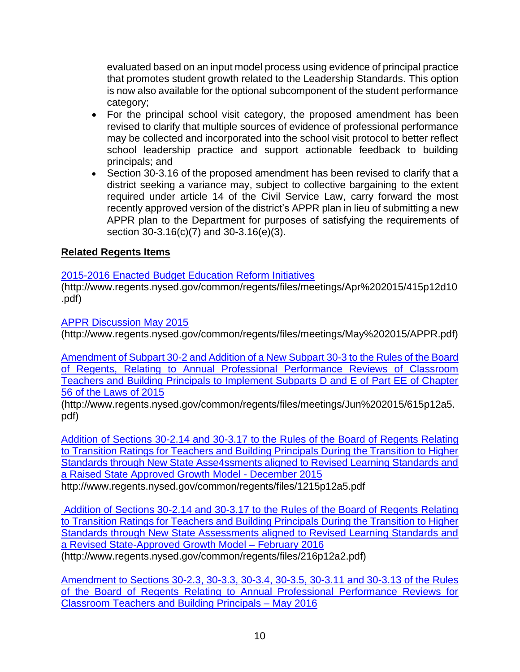evaluated based on an input model process using evidence of principal practice that promotes student growth related to the Leadership Standards. This option is now also available for the optional subcomponent of the student performance category;

- For the principal school visit category, the proposed amendment has been revised to clarify that multiple sources of evidence of professional performance may be collected and incorporated into the school visit protocol to better reflect school leadership practice and support actionable feedback to building principals; and
- Section 30-3.16 of the proposed amendment has been revised to clarify that a district seeking a variance may, subject to collective bargaining to the extent required under article 14 of the Civil Service Law, carry forward the most recently approved version of the district's APPR plan in lieu of submitting a new APPR plan to the Department for purposes of satisfying the requirements of section 30-3.16(c)(7) and 30-3.16(e)(3).

# **Related Regents Items**

# [2015-2016 Enacted Budget Education Reform Initiatives](http://www.regents.nysed.gov/common/regents/files/meetings/Apr%202015/415p12d10.pdf)

[\(http://www.regents.nysed.gov/common/regents/files/meetings/Apr%202015/415p12d10](http://www.regents.nysed.gov/common/regents/files/meetings/Apr%202015/415p12d10.pdf) [.pdf\)](http://www.regents.nysed.gov/common/regents/files/meetings/Apr%202015/415p12d10.pdf)

[APPR Discussion May 2015](http://www.regents.nysed.gov/common/regents/files/meetings/May%202015/APPR.pdf)

(http://www.regents.nysed.gov/common/regents/files/meetings/May%202015/APPR.pdf)

[Amendment of Subpart 30-2 and Addition of a New Subpart 30-3 to the Rules of the Board](http://www.regents.nysed.gov/common/regents/files/meetings/Jun%202015/615p12a5.pdf)  [of Regents, Relating to Annual Professional Performance Reviews of Classroom](http://www.regents.nysed.gov/common/regents/files/meetings/Jun%202015/615p12a5.pdf)  [Teachers and Building Principals to Implement Subparts D and E of Part EE of Chapter](http://www.regents.nysed.gov/common/regents/files/meetings/Jun%202015/615p12a5.pdf)  [56 of the Laws of 2015](http://www.regents.nysed.gov/common/regents/files/meetings/Jun%202015/615p12a5.pdf) 

(http://www.regents.nysed.gov/common/regents/files/meetings/Jun%202015/615p12a5. pdf)

[Addition of Sections 30-2.14 and 30-3.17 to the Rules of the Board of Regents Relating](http://www.regents.nysed.gov/common/regents/files/1215p12a5.pdf)  [to Transition Ratings for Teachers and Building Principals During the Transition to Higher](http://www.regents.nysed.gov/common/regents/files/1215p12a5.pdf)  [Standards through New State Asse4ssments aligned to Revised Learning Standards and](http://www.regents.nysed.gov/common/regents/files/1215p12a5.pdf)  [a Raised State Approved Growth Model](http://www.regents.nysed.gov/common/regents/files/1215p12a5.pdf) - December 2015

http://www.regents.nysed.gov/common/regents/files/1215p12a5.pdf

[Addition of Sections 30-2.14 and 30-3.17 to the Rules of the Board of Regents Relating](http://www.regents.nysed.gov/common/regents/files/216p12a2.pdf)  [to Transition Ratings for Teachers and Building Principals During the Transition to Higher](http://www.regents.nysed.gov/common/regents/files/216p12a2.pdf)  [Standards through New State Assessments aligned to Revised Learning Standards and](http://www.regents.nysed.gov/common/regents/files/216p12a2.pdf)  [a Revised State-Approved Growth Model](http://www.regents.nysed.gov/common/regents/files/216p12a2.pdf) – February 2016 (http://www.regents.nysed.gov/common/regents/files/216p12a2.pdf)

[Amendment to Sections 30-2.3, 30-3.3, 30-3.4, 30-3.5, 30-3.11 and 30-3.13 of the Rules](http://www.regents.nysed.gov/common/regents/files/516p12a1.pdf)  [of the Board of Regents Relating to Annual Professional Performance Reviews for](http://www.regents.nysed.gov/common/regents/files/516p12a1.pdf)  [Classroom](http://www.regents.nysed.gov/common/regents/files/516p12a1.pdf) Teachers and Building Principals – May 2016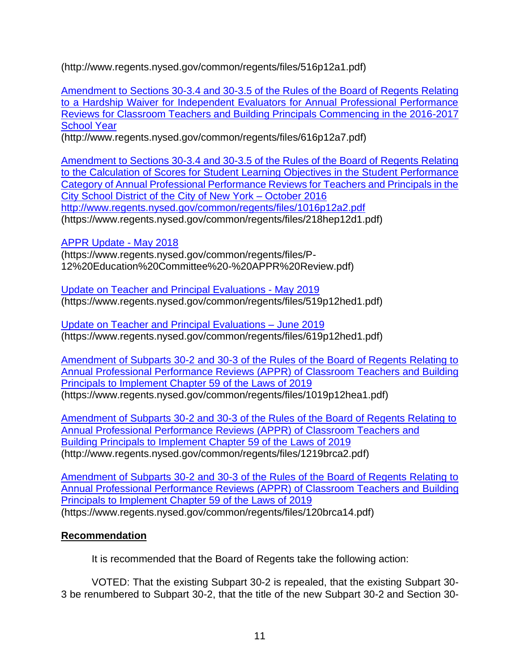(http://www.regents.nysed.gov/common/regents/files/516p12a1.pdf)

[Amendment to Sections 30-3.4 and 30-3.5 of the Rules of the Board of Regents Relating](http://www.regents.nysed.gov/common/regents/files/616p12a7.pdf)  [to a Hardship Waiver for Independent Evaluators for Annual Professional Performance](http://www.regents.nysed.gov/common/regents/files/616p12a7.pdf)  [Reviews for Classroom Teachers and Building Principals Commencing in the 2016-2017](http://www.regents.nysed.gov/common/regents/files/616p12a7.pdf)  **[School Year](http://www.regents.nysed.gov/common/regents/files/616p12a7.pdf)** 

(http://www.regents.nysed.gov/common/regents/files/616p12a7.pdf)

[Amendment to Sections 30-3.4 and 30-3.5 of the Rules of the Board of Regents Relating](http://www.regents.nysed.gov/common/regents/files/1016p12a2.pdf)  [to the Calculation of Scores for Student Learning Objectives in the Student Performance](http://www.regents.nysed.gov/common/regents/files/1016p12a2.pdf)  [Category of Annual Professional Performance Reviews for Teachers and Principals in the](http://www.regents.nysed.gov/common/regents/files/1016p12a2.pdf)  [City School District of the City of New York –](http://www.regents.nysed.gov/common/regents/files/1016p12a2.pdf) October 2016 <http://www.regents.nysed.gov/common/regents/files/1016p12a2.pdf> (https://www.regents.nysed.gov/common/regents/files/218hep12d1.pdf)

[APPR Update -](https://www.regents.nysed.gov/common/regents/files/P-12%20Education%20Committee%20-%20APPR%20Review.pdf) May 2018

(https://www.regents.nysed.gov/common/regents/files/P-12%20Education%20Committee%20-%20APPR%20Review.pdf)

[Update on Teacher and Principal Evaluations -](https://www.regents.nysed.gov/common/regents/files/519p12hed1.pdf) May 2019 (https://www.regents.nysed.gov/common/regents/files/519p12hed1.pdf)

[Update on Teacher and Principal Evaluations –](https://www.regents.nysed.gov/common/regents/files/619p12hed1.pdf) June 2019 (https://www.regents.nysed.gov/common/regents/files/619p12hed1.pdf)

[Amendment of Subparts 30-2 and 30-3 of the Rules of the Board of Regents Relating to](https://www.regents.nysed.gov/common/regents/files/1019p12hea1.pdf)  [Annual Professional Performance Reviews \(APPR\) of Classroom Teachers and Building](https://www.regents.nysed.gov/common/regents/files/1019p12hea1.pdf)  [Principals to Implement Chapter 59 of the Laws of 2019](https://www.regents.nysed.gov/common/regents/files/1019p12hea1.pdf) (https://www.regents.nysed.gov/common/regents/files/1019p12hea1.pdf)

[Amendment of Subparts 30-2 and 30-3 of the Rules of the Board of Regents Relating to](http://www.regents.nysed.gov/common/regents/files/1219brca2.pdf)  [Annual Professional Performance Reviews \(APPR\) of Classroom Teachers and](http://www.regents.nysed.gov/common/regents/files/1219brca2.pdf)  [Building Principals to Implement Chapter 59 of the Laws of 2019](http://www.regents.nysed.gov/common/regents/files/1219brca2.pdf) (http://www.regents.nysed.gov/common/regents/files/1219brca2.pdf)

[Amendment of Subparts 30-2 and 30-3 of the Rules of the Board of Regents Relating to](https://www.regents.nysed.gov/common/regents/files/120brca14.pdf)  [Annual Professional Performance Reviews \(APPR\) of Classroom Teachers and Building](https://www.regents.nysed.gov/common/regents/files/120brca14.pdf)  [Principals to Implement Chapter 59 of the Laws of 2019](https://www.regents.nysed.gov/common/regents/files/120brca14.pdf) (https://www.regents.nysed.gov/common/regents/files/120brca14.pdf)

# **Recommendation**

It is recommended that the Board of Regents take the following action:

VOTED: That the existing Subpart 30-2 is repealed, that the existing Subpart 30- 3 be renumbered to Subpart 30-2, that the title of the new Subpart 30-2 and Section 30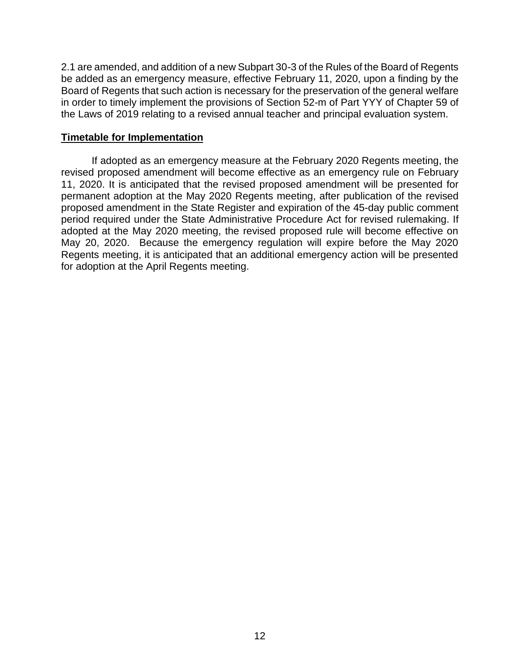2.1 are amended, and addition of a new Subpart 30-3 of the Rules of the Board of Regents be added as an emergency measure, effective February 11, 2020, upon a finding by the Board of Regents that such action is necessary for the preservation of the general welfare in order to timely implement the provisions of Section 52-m of Part YYY of Chapter 59 of the Laws of 2019 relating to a revised annual teacher and principal evaluation system.

#### **Timetable for Implementation**

If adopted as an emergency measure at the February 2020 Regents meeting, the revised proposed amendment will become effective as an emergency rule on February 11, 2020. It is anticipated that the revised proposed amendment will be presented for permanent adoption at the May 2020 Regents meeting, after publication of the revised proposed amendment in the State Register and expiration of the 45-day public comment period required under the State Administrative Procedure Act for revised rulemaking. If adopted at the May 2020 meeting, the revised proposed rule will become effective on May 20, 2020. Because the emergency regulation will expire before the May 2020 Regents meeting, it is anticipated that an additional emergency action will be presented for adoption at the April Regents meeting.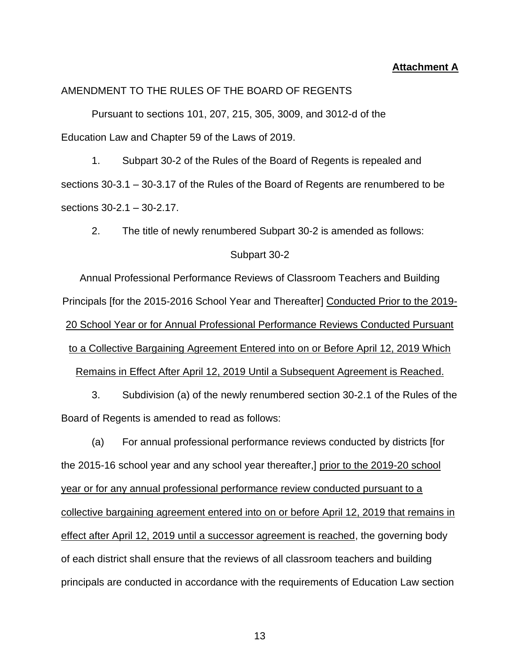#### **Attachment A**

#### AMENDMENT TO THE RULES OF THE BOARD OF REGENTS

Pursuant to sections 101, 207, 215, 305, 3009, and 3012-d of the Education Law and Chapter 59 of the Laws of 2019.

1. Subpart 30-2 of the Rules of the Board of Regents is repealed and sections 30-3.1 – 30-3.17 of the Rules of the Board of Regents are renumbered to be sections 30-2.1 – 30-2.17.

2. The title of newly renumbered Subpart 30-2 is amended as follows:

#### Subpart 30-2

Annual Professional Performance Reviews of Classroom Teachers and Building Principals [for the 2015-2016 School Year and Thereafter] Conducted Prior to the 2019- 20 School Year or for Annual Professional Performance Reviews Conducted Pursuant to a Collective Bargaining Agreement Entered into on or Before April 12, 2019 Which

Remains in Effect After April 12, 2019 Until a Subsequent Agreement is Reached.

3. Subdivision (a) of the newly renumbered section 30-2.1 of the Rules of the Board of Regents is amended to read as follows:

(a) For annual professional performance reviews conducted by districts [for the 2015-16 school year and any school year thereafter,] prior to the 2019-20 school year or for any annual professional performance review conducted pursuant to a collective bargaining agreement entered into on or before April 12, 2019 that remains in effect after April 12, 2019 until a successor agreement is reached, the governing body of each district shall ensure that the reviews of all classroom teachers and building principals are conducted in accordance with the requirements of Education Law section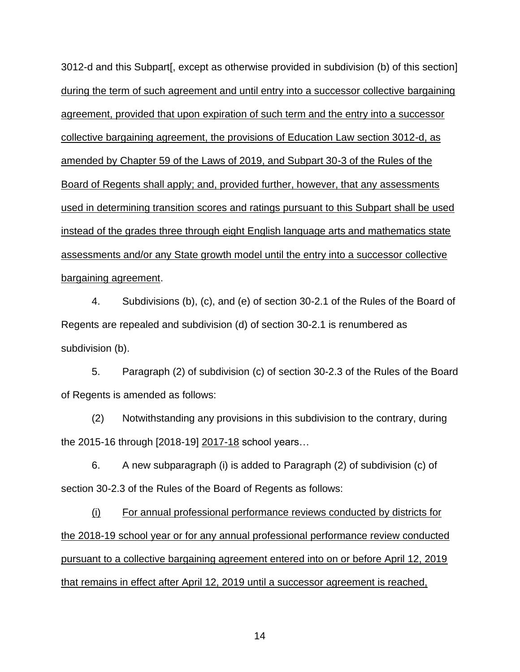3012-d and this Subpart[, except as otherwise provided in subdivision (b) of this section] during the term of such agreement and until entry into a successor collective bargaining agreement, provided that upon expiration of such term and the entry into a successor collective bargaining agreement, the provisions of Education Law section 3012-d, as amended by Chapter 59 of the Laws of 2019, and Subpart 30-3 of the Rules of the Board of Regents shall apply; and, provided further, however, that any assessments used in determining transition scores and ratings pursuant to this Subpart shall be used instead of the grades three through eight English language arts and mathematics state assessments and/or any State growth model until the entry into a successor collective bargaining agreement.

4. Subdivisions (b), (c), and (e) of section 30-2.1 of the Rules of the Board of Regents are repealed and subdivision (d) of section 30-2.1 is renumbered as subdivision (b).

5. Paragraph (2) of subdivision (c) of section 30-2.3 of the Rules of the Board of Regents is amended as follows:

(2) Notwithstanding any provisions in this subdivision to the contrary, during the 2015-16 through [2018-19] 2017-18 school years...

6. A new subparagraph (i) is added to Paragraph (2) of subdivision (c) of section 30-2.3 of the Rules of the Board of Regents as follows:

(i) For annual professional performance reviews conducted by districts for the 2018-19 school year or for any annual professional performance review conducted pursuant to a collective bargaining agreement entered into on or before April 12, 2019 that remains in effect after April 12, 2019 until a successor agreement is reached,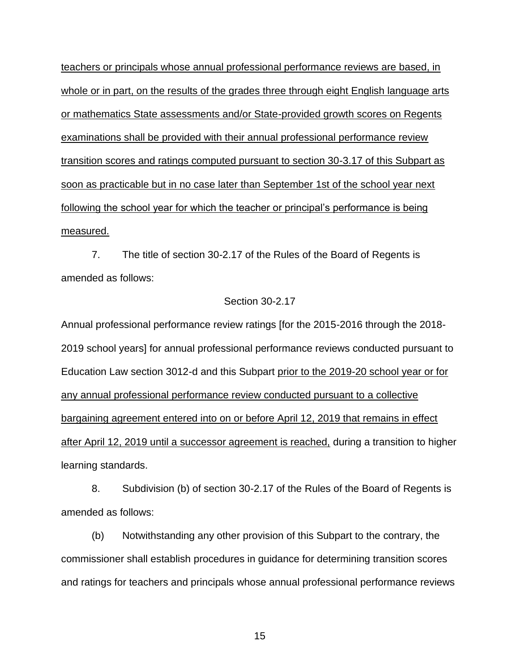teachers or principals whose annual professional performance reviews are based, in whole or in part, on the results of the grades three through eight English language arts or mathematics State assessments and/or State-provided growth scores on Regents examinations shall be provided with their annual professional performance review transition scores and ratings computed pursuant to section 30-3.17 of this Subpart as soon as practicable but in no case later than September 1st of the school year next following the school year for which the teacher or principal's performance is being measured.

7. The title of section 30-2.17 of the Rules of the Board of Regents is amended as follows:

#### Section 30-2.17

Annual professional performance review ratings [for the 2015-2016 through the 2018- 2019 school years] for annual professional performance reviews conducted pursuant to Education Law section 3012-d and this Subpart prior to the 2019-20 school year or for any annual professional performance review conducted pursuant to a collective bargaining agreement entered into on or before April 12, 2019 that remains in effect after April 12, 2019 until a successor agreement is reached, during a transition to higher learning standards.

8. Subdivision (b) of section 30-2.17 of the Rules of the Board of Regents is amended as follows:

(b) Notwithstanding any other provision of this Subpart to the contrary, the commissioner shall establish procedures in guidance for determining transition scores and ratings for teachers and principals whose annual professional performance reviews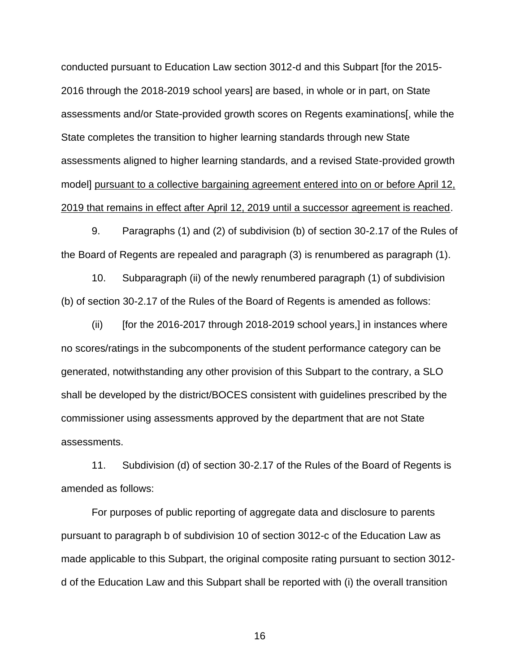conducted pursuant to Education Law section 3012-d and this Subpart [for the 2015- 2016 through the 2018-2019 school years] are based, in whole or in part, on State assessments and/or State-provided growth scores on Regents examinations[, while the State completes the transition to higher learning standards through new State assessments aligned to higher learning standards, and a revised State-provided growth model] pursuant to a collective bargaining agreement entered into on or before April 12, 2019 that remains in effect after April 12, 2019 until a successor agreement is reached.

9. Paragraphs (1) and (2) of subdivision (b) of section 30-2.17 of the Rules of the Board of Regents are repealed and paragraph (3) is renumbered as paragraph (1).

10. Subparagraph (ii) of the newly renumbered paragraph (1) of subdivision (b) of section 30-2.17 of the Rules of the Board of Regents is amended as follows:

 $(i)$  [for the 2016-2017 through 2018-2019 school years,] in instances where no scores/ratings in the subcomponents of the student performance category can be generated, notwithstanding any other provision of this Subpart to the contrary, a SLO shall be developed by the district/BOCES consistent with guidelines prescribed by the commissioner using assessments approved by the department that are not State assessments.

11. Subdivision (d) of section 30-2.17 of the Rules of the Board of Regents is amended as follows:

For purposes of public reporting of aggregate data and disclosure to parents pursuant to paragraph b of subdivision 10 of section 3012-c of the Education Law as made applicable to this Subpart, the original composite rating pursuant to section 3012 d of the Education Law and this Subpart shall be reported with (i) the overall transition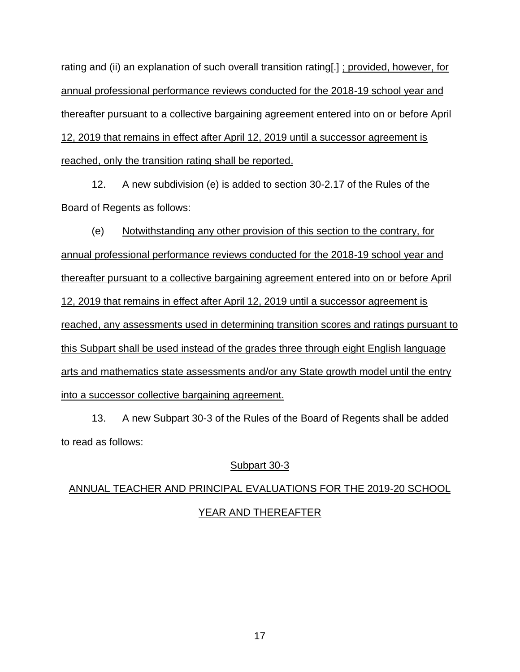rating and (ii) an explanation of such overall transition rating[.] ; provided, however, for annual professional performance reviews conducted for the 2018-19 school year and thereafter pursuant to a collective bargaining agreement entered into on or before April 12, 2019 that remains in effect after April 12, 2019 until a successor agreement is reached, only the transition rating shall be reported.

12. A new subdivision (e) is added to section 30-2.17 of the Rules of the Board of Regents as follows:

(e) Notwithstanding any other provision of this section to the contrary, for annual professional performance reviews conducted for the 2018-19 school year and thereafter pursuant to a collective bargaining agreement entered into on or before April 12, 2019 that remains in effect after April 12, 2019 until a successor agreement is reached, any assessments used in determining transition scores and ratings pursuant to this Subpart shall be used instead of the grades three through eight English language arts and mathematics state assessments and/or any State growth model until the entry into a successor collective bargaining agreement.

13. A new Subpart 30-3 of the Rules of the Board of Regents shall be added to read as follows:

## Subpart 30-3

# ANNUAL TEACHER AND PRINCIPAL EVALUATIONS FOR THE 2019-20 SCHOOL YEAR AND THEREAFTER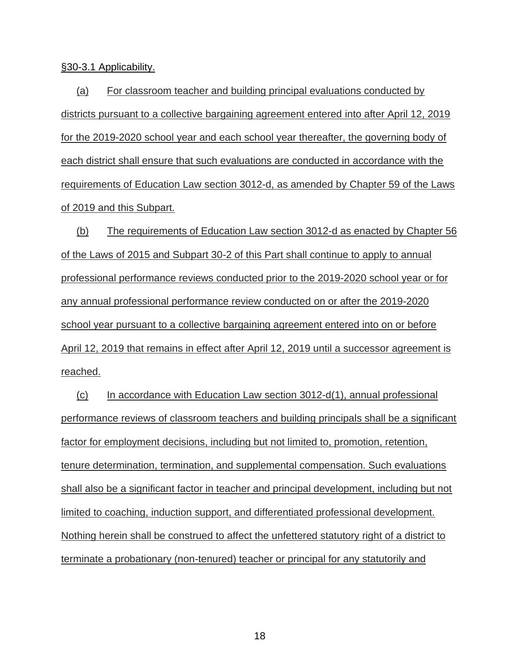§30-3.1 Applicability.

(a) For classroom teacher and building principal evaluations conducted by districts pursuant to a collective bargaining agreement entered into after April 12, 2019 for the 2019-2020 school year and each school year thereafter, the governing body of each district shall ensure that such evaluations are conducted in accordance with the requirements of Education Law section 3012-d, as amended by Chapter 59 of the Laws of 2019 and this Subpart.

(b) The requirements of Education Law section 3012-d as enacted by Chapter 56 of the Laws of 2015 and Subpart 30-2 of this Part shall continue to apply to annual professional performance reviews conducted prior to the 2019-2020 school year or for any annual professional performance review conducted on or after the 2019-2020 school year pursuant to a collective bargaining agreement entered into on or before April 12, 2019 that remains in effect after April 12, 2019 until a successor agreement is reached.

(c) In accordance with Education Law section 3012-d(1), annual professional performance reviews of classroom teachers and building principals shall be a significant factor for employment decisions, including but not limited to, promotion, retention, tenure determination, termination, and supplemental compensation. Such evaluations shall also be a significant factor in teacher and principal development, including but not limited to coaching, induction support, and differentiated professional development. Nothing herein shall be construed to affect the unfettered statutory right of a district to terminate a probationary (non-tenured) teacher or principal for any statutorily and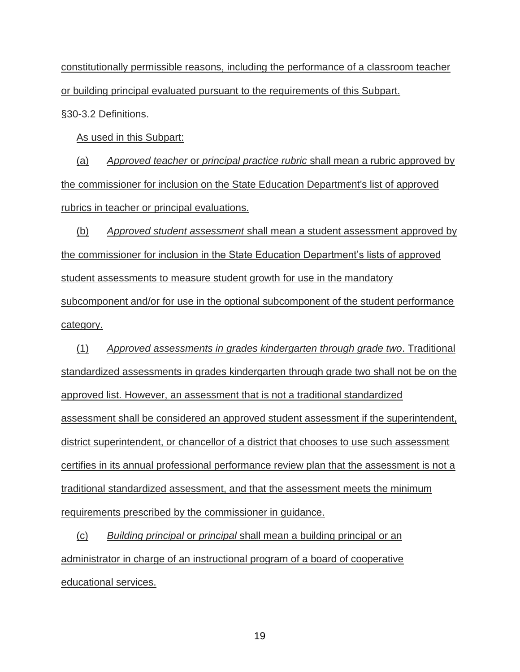constitutionally permissible reasons, including the performance of a classroom teacher or building principal evaluated pursuant to the requirements of this Subpart.

§30-3.2 Definitions.

As used in this Subpart:

(a) *Approved teacher* or *principal practice rubric* shall mean a rubric approved by the commissioner for inclusion on the State Education Department's list of approved rubrics in teacher or principal evaluations.

(b) *Approved student assessment* shall mean a student assessment approved by the commissioner for inclusion in the State Education Department's lists of approved student assessments to measure student growth for use in the mandatory subcomponent and/or for use in the optional subcomponent of the student performance category.

(1) *Approved assessments in grades kindergarten through grade two*. Traditional standardized assessments in grades kindergarten through grade two shall not be on the approved list. However, an assessment that is not a traditional standardized assessment shall be considered an approved student assessment if the superintendent, district superintendent, or chancellor of a district that chooses to use such assessment certifies in its annual professional performance review plan that the assessment is not a traditional standardized assessment, and that the assessment meets the minimum requirements prescribed by the commissioner in guidance.

(c) *Building principal* or *principal* shall mean a building principal or an administrator in charge of an instructional program of a board of cooperative educational services.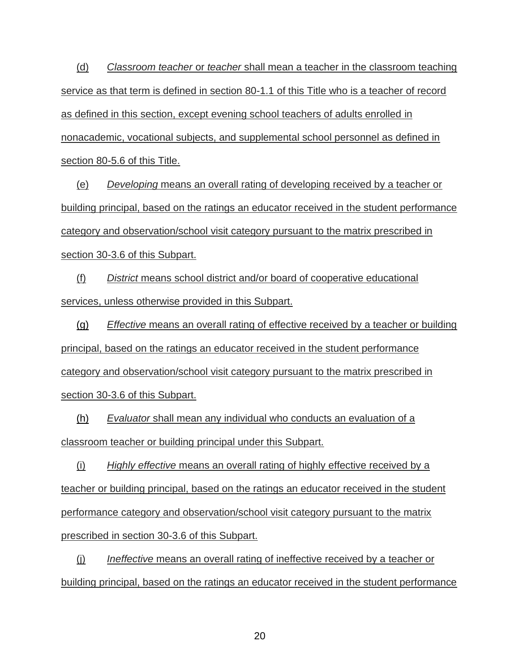(d) *Classroom teacher* or *teacher* shall mean a teacher in the classroom teaching service as that term is defined in section 80-1.1 of this Title who is a teacher of record as defined in this section, except evening school teachers of adults enrolled in nonacademic, vocational subjects, and supplemental school personnel as defined in section 80-5.6 of this Title.

(e) *Developing* means an overall rating of developing received by a teacher or building principal, based on the ratings an educator received in the student performance category and observation/school visit category pursuant to the matrix prescribed in section 30-3.6 of this Subpart.

(f) *District* means school district and/or board of cooperative educational services, unless otherwise provided in this Subpart.

(g) *Effective* means an overall rating of effective received by a teacher or building principal, based on the ratings an educator received in the student performance category and observation/school visit category pursuant to the matrix prescribed in section 30-3.6 of this Subpart.

(h) *Evaluator* shall mean any individual who conducts an evaluation of a classroom teacher or building principal under this Subpart.

(i) *Highly effective* means an overall rating of highly effective received by a teacher or building principal, based on the ratings an educator received in the student performance category and observation/school visit category pursuant to the matrix prescribed in section 30-3.6 of this Subpart.

(j) *Ineffective* means an overall rating of ineffective received by a teacher or building principal, based on the ratings an educator received in the student performance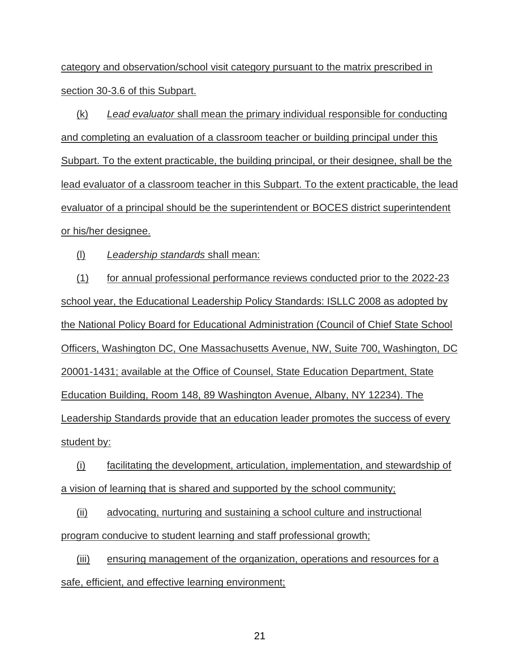category and observation/school visit category pursuant to the matrix prescribed in section 30-3.6 of this Subpart.

(k) *Lead evaluator* shall mean the primary individual responsible for conducting and completing an evaluation of a classroom teacher or building principal under this Subpart. To the extent practicable, the building principal, or their designee, shall be the lead evaluator of a classroom teacher in this Subpart. To the extent practicable, the lead evaluator of a principal should be the superintendent or BOCES district superintendent or his/her designee.

(l) *Leadership standards* shall mean:

(1) for annual professional performance reviews conducted prior to the 2022-23 school year, the Educational Leadership Policy Standards: ISLLC 2008 as adopted by the National Policy Board for Educational Administration (Council of Chief State School Officers, Washington DC, One Massachusetts Avenue, NW, Suite 700, Washington, DC 20001-1431; available at the Office of Counsel, State Education Department, State Education Building, Room 148, 89 Washington Avenue, Albany, NY 12234). The Leadership Standards provide that an education leader promotes the success of every student by:

(i) facilitating the development, articulation, implementation, and stewardship of a vision of learning that is shared and supported by the school community;

(ii) advocating, nurturing and sustaining a school culture and instructional program conducive to student learning and staff professional growth;

(iii) ensuring management of the organization, operations and resources for a safe, efficient, and effective learning environment;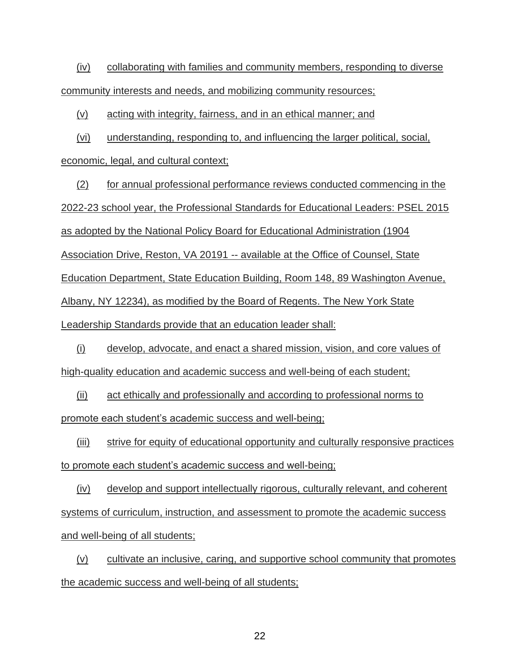(iv) collaborating with families and community members, responding to diverse community interests and needs, and mobilizing community resources;

(v) acting with integrity, fairness, and in an ethical manner; and

(vi) understanding, responding to, and influencing the larger political, social,

economic, legal, and cultural context;

(2) for annual professional performance reviews conducted commencing in the 2022-23 school year, the Professional Standards for Educational Leaders: PSEL 2015 as adopted by the National Policy Board for Educational Administration (1904 Association Drive, Reston, VA 20191 -- available at the Office of Counsel, State Education Department, State Education Building, Room 148, 89 Washington Avenue, Albany, NY 12234), as modified by the Board of Regents. The New York State Leadership Standards provide that an education leader shall:

(i) develop, advocate, and enact a shared mission, vision, and core values of high-quality education and academic success and well-being of each student;

(ii) act ethically and professionally and according to professional norms to promote each student's academic success and well-being;

(iii) strive for equity of educational opportunity and culturally responsive practices to promote each student's academic success and well-being;

(iv) develop and support intellectually rigorous, culturally relevant, and coherent systems of curriculum, instruction, and assessment to promote the academic success and well-being of all students;

(v) cultivate an inclusive, caring, and supportive school community that promotes the academic success and well-being of all students;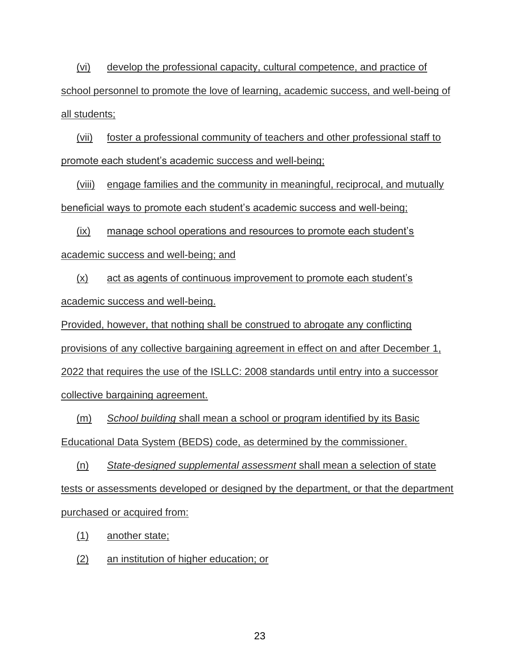(vi) develop the professional capacity, cultural competence, and practice of school personnel to promote the love of learning, academic success, and well-being of all students;

(vii) foster a professional community of teachers and other professional staff to promote each student's academic success and well-being;

(viii) engage families and the community in meaningful, reciprocal, and mutually beneficial ways to promote each student's academic success and well-being;

(ix) manage school operations and resources to promote each student's academic success and well-being; and

(x) act as agents of continuous improvement to promote each student's academic success and well-being.

Provided, however, that nothing shall be construed to abrogate any conflicting provisions of any collective bargaining agreement in effect on and after December 1, 2022 that requires the use of the ISLLC: 2008 standards until entry into a successor collective bargaining agreement.

(m) *School building* shall mean a school or program identified by its Basic Educational Data System (BEDS) code, as determined by the commissioner.

(n) *State-designed supplemental assessment* shall mean a selection of state tests or assessments developed or designed by the department, or that the department purchased or acquired from:

(1) another state;

(2) an institution of higher education; or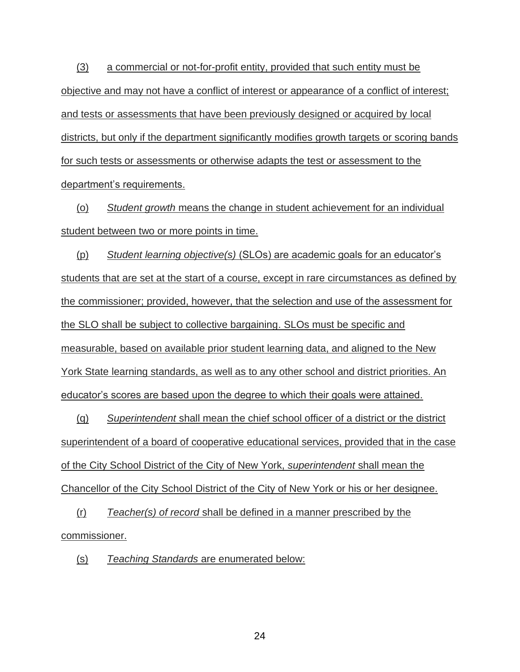(3) a commercial or not-for-profit entity, provided that such entity must be objective and may not have a conflict of interest or appearance of a conflict of interest; and tests or assessments that have been previously designed or acquired by local districts, but only if the department significantly modifies growth targets or scoring bands for such tests or assessments or otherwise adapts the test or assessment to the department's requirements.

(o) *Student growth* means the change in student achievement for an individual student between two or more points in time.

(p) *Student learning objective(s)* (SLOs) are academic goals for an educator's students that are set at the start of a course, except in rare circumstances as defined by the commissioner; provided, however, that the selection and use of the assessment for the SLO shall be subject to collective bargaining. SLOs must be specific and measurable, based on available prior student learning data, and aligned to the New York State learning standards, as well as to any other school and district priorities. An educator's scores are based upon the degree to which their goals were attained.

(q) *Superintendent* shall mean the chief school officer of a district or the district superintendent of a board of cooperative educational services, provided that in the case of the City School District of the City of New York, *superintendent* shall mean the Chancellor of the City School District of the City of New York or his or her designee.

(r) *Teacher(s) of record* shall be defined in a manner prescribed by the commissioner.

(s) *Teaching Standards* are enumerated below: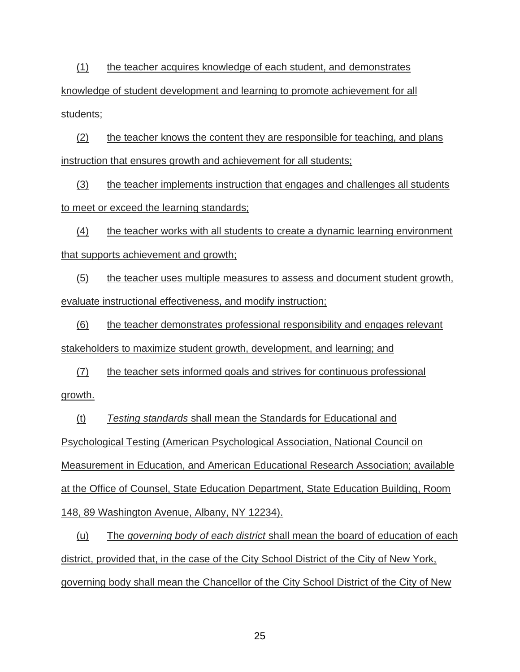(1) the teacher acquires knowledge of each student, and demonstrates knowledge of student development and learning to promote achievement for all students;

(2) the teacher knows the content they are responsible for teaching, and plans instruction that ensures growth and achievement for all students;

(3) the teacher implements instruction that engages and challenges all students to meet or exceed the learning standards;

(4) the teacher works with all students to create a dynamic learning environment that supports achievement and growth;

(5) the teacher uses multiple measures to assess and document student growth, evaluate instructional effectiveness, and modify instruction;

(6) the teacher demonstrates professional responsibility and engages relevant stakeholders to maximize student growth, development, and learning; and

(7) the teacher sets informed goals and strives for continuous professional growth.

(t) *Testing standards* shall mean the Standards for Educational and Psychological Testing (American Psychological Association, National Council on Measurement in Education, and American Educational Research Association; available at the Office of Counsel, State Education Department, State Education Building, Room 148, 89 Washington Avenue, Albany, NY 12234).

(u) The *governing body of each district* shall mean the board of education of each district, provided that, in the case of the City School District of the City of New York, governing body shall mean the Chancellor of the City School District of the City of New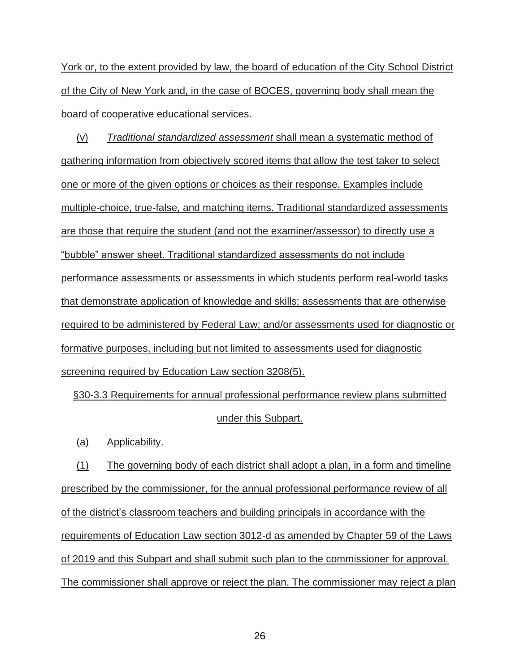York or, to the extent provided by law, the board of education of the City School District of the City of New York and, in the case of BOCES, governing body shall mean the board of cooperative educational services.

(v) *Traditional standardized assessment* shall mean a systematic method of gathering information from objectively scored items that allow the test taker to select one or more of the given options or choices as their response. Examples include multiple-choice, true-false, and matching items. Traditional standardized assessments are those that require the student (and not the examiner/assessor) to directly use a "bubble" answer sheet. Traditional standardized assessments do not include performance assessments or assessments in which students perform real-world tasks that demonstrate application of knowledge and skills; assessments that are otherwise required to be administered by Federal Law; and/or assessments used for diagnostic or formative purposes, including but not limited to assessments used for diagnostic screening required by Education Law section 3208(5).

§30-3.3 Requirements for annual professional performance review plans submitted under this Subpart.

(a) Applicability.

(1) The governing body of each district shall adopt a plan, in a form and timeline prescribed by the commissioner, for the annual professional performance review of all of the district's classroom teachers and building principals in accordance with the requirements of Education Law section 3012-d as amended by Chapter 59 of the Laws of 2019 and this Subpart and shall submit such plan to the commissioner for approval. The commissioner shall approve or reject the plan. The commissioner may reject a plan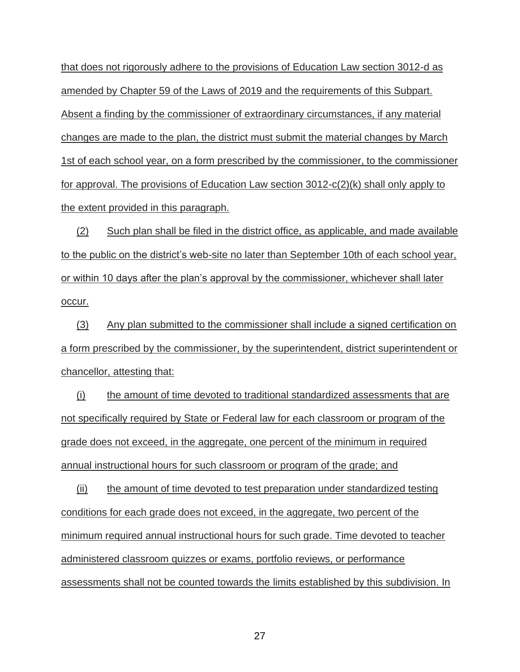that does not rigorously adhere to the provisions of Education Law section 3012-d as amended by Chapter 59 of the Laws of 2019 and the requirements of this Subpart. Absent a finding by the commissioner of extraordinary circumstances, if any material changes are made to the plan, the district must submit the material changes by March 1st of each school year, on a form prescribed by the commissioner, to the commissioner for approval. The provisions of Education Law section 3012-c(2)(k) shall only apply to the extent provided in this paragraph.

(2) Such plan shall be filed in the district office, as applicable, and made available to the public on the district's web-site no later than September 10th of each school year, or within 10 days after the plan's approval by the commissioner, whichever shall later occur.

(3) Any plan submitted to the commissioner shall include a signed certification on a form prescribed by the commissioner, by the superintendent, district superintendent or chancellor, attesting that:

(i) the amount of time devoted to traditional standardized assessments that are not specifically required by State or Federal law for each classroom or program of the grade does not exceed, in the aggregate, one percent of the minimum in required annual instructional hours for such classroom or program of the grade; and

(ii) the amount of time devoted to test preparation under standardized testing conditions for each grade does not exceed, in the aggregate, two percent of the minimum required annual instructional hours for such grade. Time devoted to teacher administered classroom quizzes or exams, portfolio reviews, or performance assessments shall not be counted towards the limits established by this subdivision. In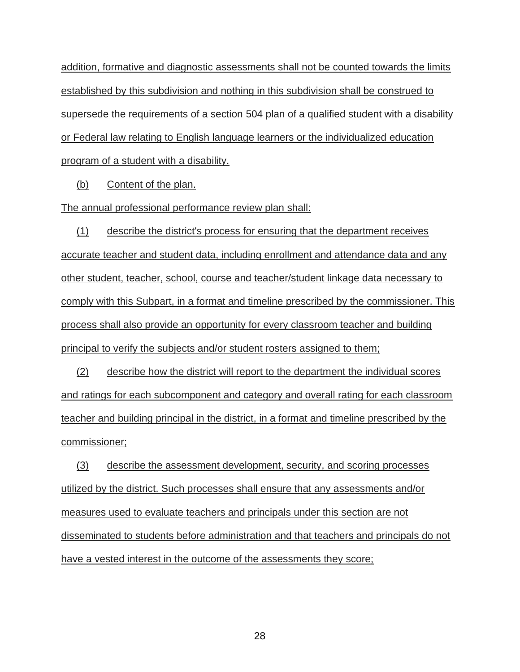addition, formative and diagnostic assessments shall not be counted towards the limits established by this subdivision and nothing in this subdivision shall be construed to supersede the requirements of a section 504 plan of a qualified student with a disability or Federal law relating to English language learners or the individualized education program of a student with a disability.

(b) Content of the plan.

The annual professional performance review plan shall:

(1) describe the district's process for ensuring that the department receives accurate teacher and student data, including enrollment and attendance data and any other student, teacher, school, course and teacher/student linkage data necessary to comply with this Subpart, in a format and timeline prescribed by the commissioner. This process shall also provide an opportunity for every classroom teacher and building principal to verify the subjects and/or student rosters assigned to them;

(2) describe how the district will report to the department the individual scores and ratings for each subcomponent and category and overall rating for each classroom teacher and building principal in the district, in a format and timeline prescribed by the commissioner;

(3) describe the assessment development, security, and scoring processes utilized by the district. Such processes shall ensure that any assessments and/or measures used to evaluate teachers and principals under this section are not disseminated to students before administration and that teachers and principals do not have a vested interest in the outcome of the assessments they score;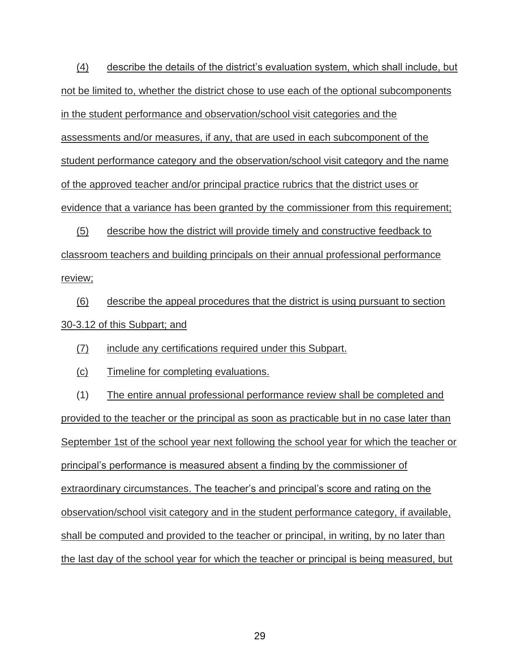(4) describe the details of the district's evaluation system, which shall include, but not be limited to, whether the district chose to use each of the optional subcomponents in the student performance and observation/school visit categories and the assessments and/or measures, if any, that are used in each subcomponent of the student performance category and the observation/school visit category and the name of the approved teacher and/or principal practice rubrics that the district uses or evidence that a variance has been granted by the commissioner from this requirement;

(5) describe how the district will provide timely and constructive feedback to classroom teachers and building principals on their annual professional performance review;

(6) describe the appeal procedures that the district is using pursuant to section 30-3.12 of this Subpart; and

(7) include any certifications required under this Subpart.

(c) Timeline for completing evaluations.

(1) The entire annual professional performance review shall be completed and provided to the teacher or the principal as soon as practicable but in no case later than September 1st of the school year next following the school year for which the teacher or principal's performance is measured absent a finding by the commissioner of extraordinary circumstances. The teacher's and principal's score and rating on the observation/school visit category and in the student performance category, if available, shall be computed and provided to the teacher or principal, in writing, by no later than the last day of the school year for which the teacher or principal is being measured, but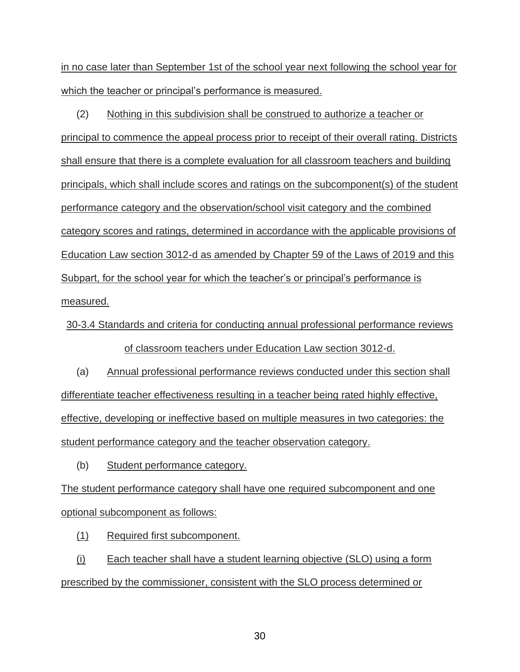in no case later than September 1st of the school year next following the school year for which the teacher or principal's performance is measured.

(2) Nothing in this subdivision shall be construed to authorize a teacher or principal to commence the appeal process prior to receipt of their overall rating. Districts shall ensure that there is a complete evaluation for all classroom teachers and building principals, which shall include scores and ratings on the subcomponent(s) of the student performance category and the observation/school visit category and the combined category scores and ratings, determined in accordance with the applicable provisions of Education Law section 3012-d as amended by Chapter 59 of the Laws of 2019 and this Subpart, for the school year for which the teacher's or principal's performance is measured.

30-3.4 Standards and criteria for conducting annual professional performance reviews of classroom teachers under Education Law section 3012-d.

(a) Annual professional performance reviews conducted under this section shall differentiate teacher effectiveness resulting in a teacher being rated highly effective, effective, developing or ineffective based on multiple measures in two categories: the student performance category and the teacher observation category.

(b) Student performance category.

The student performance category shall have one required subcomponent and one optional subcomponent as follows:

(1) Required first subcomponent.

(i) Each teacher shall have a student learning objective (SLO) using a form prescribed by the commissioner, consistent with the SLO process determined or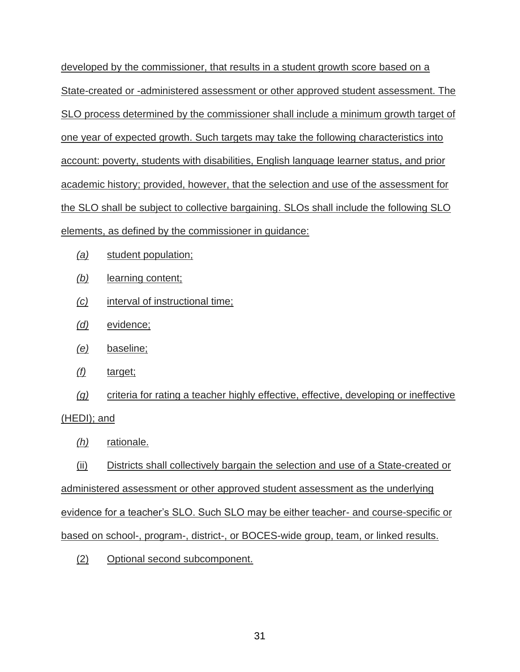developed by the commissioner, that results in a student growth score based on a State-created or -administered assessment or other approved student assessment. The SLO process determined by the commissioner shall include a minimum growth target of one year of expected growth. Such targets may take the following characteristics into account: poverty, students with disabilities, English language learner status, and prior academic history; provided, however, that the selection and use of the assessment for the SLO shall be subject to collective bargaining. SLOs shall include the following SLO elements, as defined by the commissioner in guidance:

- *(a)* student population;
- *(b)* learning content;
- *(c)* interval of instructional time;
- *(d)* evidence;
- *(e)* baseline;
- *(f)* target;
- *(g)* criteria for rating a teacher highly effective, effective, developing or ineffective (HEDI); and
	- *(h)* rationale.

(ii) Districts shall collectively bargain the selection and use of a State-created or administered assessment or other approved student assessment as the underlying evidence for a teacher's SLO. Such SLO may be either teacher- and course-specific or based on school-, program-, district-, or BOCES-wide group, team, or linked results.

(2) Optional second subcomponent.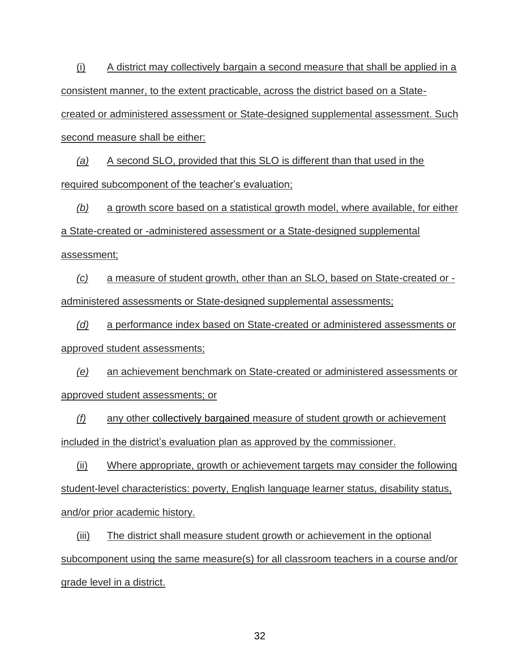(i) A district may collectively bargain a second measure that shall be applied in a consistent manner, to the extent practicable, across the district based on a State-

created or administered assessment or State-designed supplemental assessment. Such second measure shall be either:

*(a)* A second SLO, provided that this SLO is different than that used in the required subcomponent of the teacher's evaluation;

*(b)* a growth score based on a statistical growth model, where available, for either a State-created or -administered assessment or a State-designed supplemental assessment;

*(c)* a measure of student growth, other than an SLO, based on State-created or administered assessments or State-designed supplemental assessments;

*(d)* a performance index based on State-created or administered assessments or approved student assessments;

*(e)* an achievement benchmark on State-created or administered assessments or approved student assessments; or

*(f)* any other collectively bargained measure of student growth or achievement included in the district's evaluation plan as approved by the commissioner.

(ii) Where appropriate, growth or achievement targets may consider the following student-level characteristics: poverty, English language learner status, disability status, and/or prior academic history.

(iii) The district shall measure student growth or achievement in the optional subcomponent using the same measure(s) for all classroom teachers in a course and/or grade level in a district.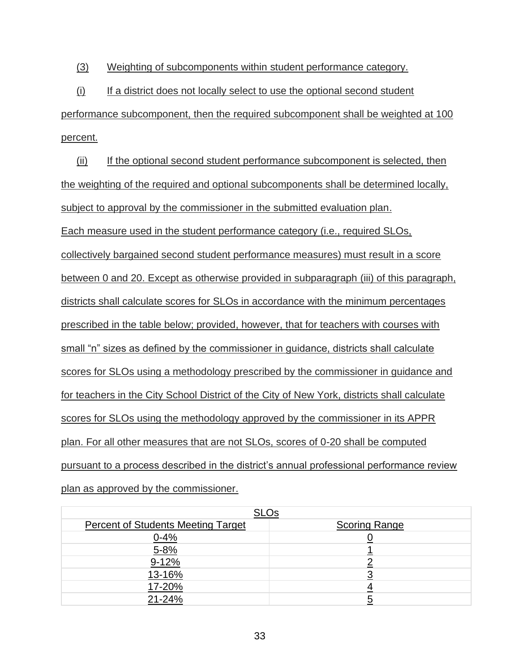(3) Weighting of subcomponents within student performance category.

(i) If a district does not locally select to use the optional second student performance subcomponent, then the required subcomponent shall be weighted at 100 percent.

(ii) If the optional second student performance subcomponent is selected, then the weighting of the required and optional subcomponents shall be determined locally, subject to approval by the commissioner in the submitted evaluation plan. Each measure used in the student performance category (i.e., required SLOs, collectively bargained second student performance measures) must result in a score between 0 and 20. Except as otherwise provided in subparagraph (iii) of this paragraph, districts shall calculate scores for SLOs in accordance with the minimum percentages prescribed in the table below; provided, however, that for teachers with courses with small "n" sizes as defined by the commissioner in guidance, districts shall calculate scores for SLOs using a methodology prescribed by the commissioner in guidance and for teachers in the City School District of the City of New York, districts shall calculate scores for SLOs using the methodology approved by the commissioner in its APPR plan. For all other measures that are not SLOs, scores of 0-20 shall be computed pursuant to a process described in the district's annual professional performance review plan as approved by the commissioner.

| <b>SLOs</b>                               |                      |  |
|-------------------------------------------|----------------------|--|
| <b>Percent of Students Meeting Target</b> | <b>Scoring Range</b> |  |
| $0 - 4%$                                  |                      |  |
| $5 - 8%$                                  |                      |  |
| $9 - 12%$                                 |                      |  |
| 13-16%                                    |                      |  |
| 17-20%                                    |                      |  |
| 21-24%                                    |                      |  |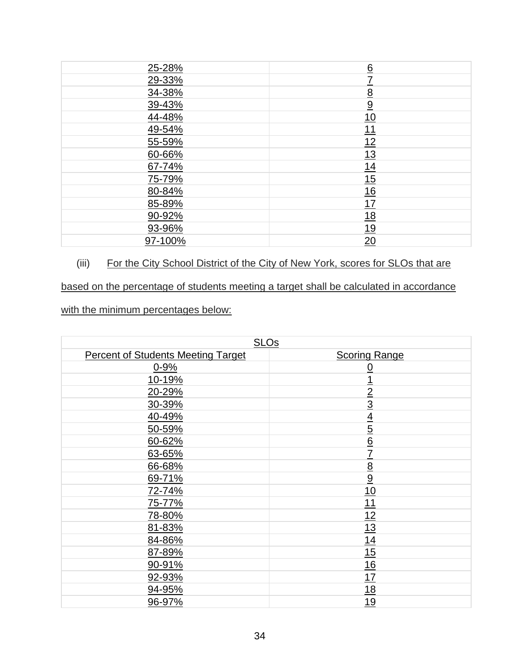| 25-28%  | 6                                                               |
|---------|-----------------------------------------------------------------|
| 29-33%  | 7                                                               |
| 34-38%  | $\underline{8}$                                                 |
| 39-43%  | $\overline{9}$                                                  |
| 44-48%  |                                                                 |
| 49-54%  | $\frac{10}{11}$ $\frac{12}{12}$ $\frac{13}{14}$                 |
| 55-59%  |                                                                 |
| 60-66%  |                                                                 |
| 67-74%  |                                                                 |
| 75-79%  |                                                                 |
| 80-84%  |                                                                 |
| 85-89%  |                                                                 |
| 90-92%  |                                                                 |
| 93-96%  | $\frac{15}{16}$ $\frac{17}{18}$ $\frac{18}{19}$ $\frac{20}{20}$ |
| 97-100% |                                                                 |

# (iii) For the City School District of the City of New York, scores for SLOs that are

# based on the percentage of students meeting a target shall be calculated in accordance

with the minimum percentages below:

| <b>SLOs</b>                               |                             |  |
|-------------------------------------------|-----------------------------|--|
| <b>Percent of Students Meeting Target</b> | <b>Scoring Range</b>        |  |
| $0 - 9%$                                  | <u>0</u>                    |  |
| 10-19%                                    |                             |  |
| 20-29%                                    | $\overline{2}$              |  |
| 30-39%                                    | $\overline{3}$              |  |
| 40-49%                                    |                             |  |
| 50-59%                                    | $\frac{4}{5}$ $\frac{6}{6}$ |  |
| 60-62%                                    |                             |  |
| 63-65%                                    | $\overline{1}$              |  |
| 66-68%                                    |                             |  |
| 69-71%                                    | $\frac{8}{9}$               |  |
| 72-74%                                    | 10                          |  |
| 75-77%                                    | 11                          |  |
| 78-80%                                    | 12                          |  |
| 81-83%                                    | 13                          |  |
| 84-86%                                    | 14                          |  |
| 87-89%                                    | 15                          |  |
| 90-91%                                    | 16                          |  |
| 92-93%                                    | 17                          |  |
| 94-95%                                    | 18                          |  |
| 96-97%                                    | 19                          |  |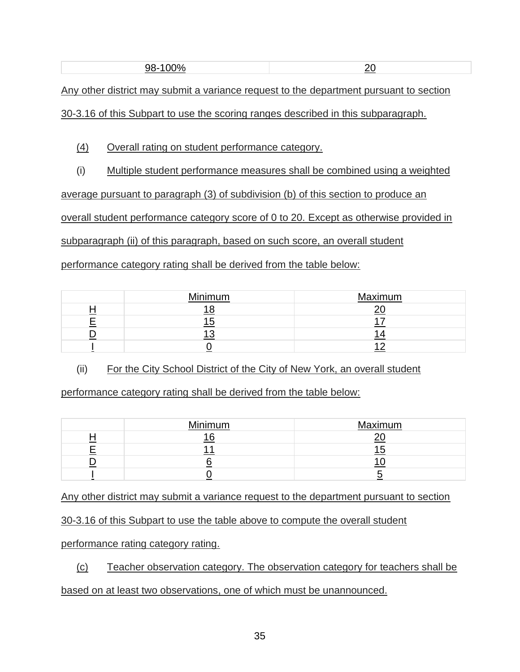Any other district may submit a variance request to the department pursuant to section

30-3.16 of this Subpart to use the scoring ranges described in this subparagraph.

(4) Overall rating on student performance category.

(i) Multiple student performance measures shall be combined using a weighted

average pursuant to paragraph (3) of subdivision (b) of this section to produce an

overall student performance category score of 0 to 20. Except as otherwise provided in

subparagraph (ii) of this paragraph, based on such score, an overall student

performance category rating shall be derived from the table below:

| Minimum | Maximum |
|---------|---------|
|         |         |
|         |         |
|         |         |
|         |         |

(ii) For the City School District of the City of New York, an overall student

performance category rating shall be derived from the table below:

| Minimum | Maximum |
|---------|---------|
|         |         |
|         |         |
|         |         |
|         |         |

Any other district may submit a variance request to the department pursuant to section

30-3.16 of this Subpart to use the table above to compute the overall student

performance rating category rating.

(c) Teacher observation category. The observation category for teachers shall be

based on at least two observations, one of which must be unannounced.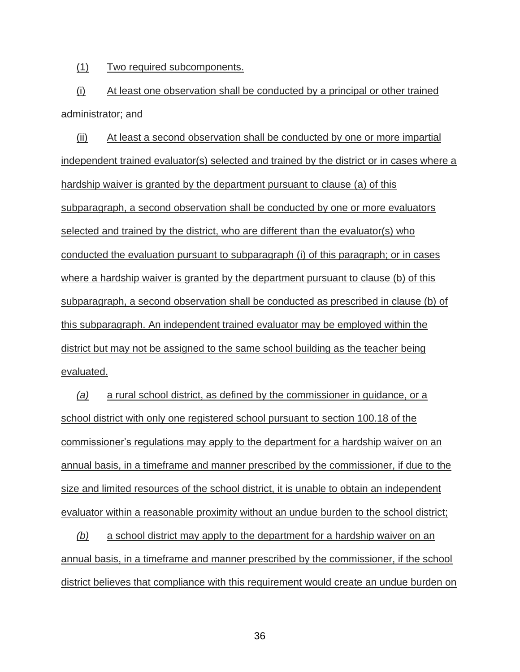(1) Two required subcomponents.

(i) At least one observation shall be conducted by a principal or other trained administrator; and

(ii) At least a second observation shall be conducted by one or more impartial independent trained evaluator(s) selected and trained by the district or in cases where a hardship waiver is granted by the department pursuant to clause (a) of this subparagraph, a second observation shall be conducted by one or more evaluators selected and trained by the district, who are different than the evaluator(s) who conducted the evaluation pursuant to subparagraph (i) of this paragraph; or in cases where a hardship waiver is granted by the department pursuant to clause (b) of this subparagraph, a second observation shall be conducted as prescribed in clause (b) of this subparagraph. An independent trained evaluator may be employed within the district but may not be assigned to the same school building as the teacher being evaluated.

*(a)* a rural school district, as defined by the commissioner in guidance, or a school district with only one registered school pursuant to section 100.18 of the commissioner's regulations may apply to the department for a hardship waiver on an annual basis, in a timeframe and manner prescribed by the commissioner, if due to the size and limited resources of the school district, it is unable to obtain an independent evaluator within a reasonable proximity without an undue burden to the school district;

*(b)* a school district may apply to the department for a hardship waiver on an annual basis, in a timeframe and manner prescribed by the commissioner, if the school district believes that compliance with this requirement would create an undue burden on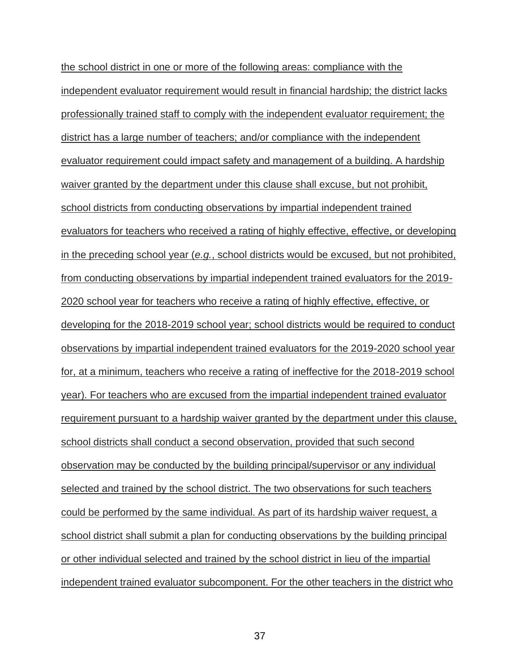the school district in one or more of the following areas: compliance with the independent evaluator requirement would result in financial hardship; the district lacks professionally trained staff to comply with the independent evaluator requirement; the district has a large number of teachers; and/or compliance with the independent evaluator requirement could impact safety and management of a building. A hardship waiver granted by the department under this clause shall excuse, but not prohibit, school districts from conducting observations by impartial independent trained evaluators for teachers who received a rating of highly effective, effective, or developing in the preceding school year (*e.g.*, school districts would be excused, but not prohibited, from conducting observations by impartial independent trained evaluators for the 2019- 2020 school year for teachers who receive a rating of highly effective, effective, or developing for the 2018-2019 school year; school districts would be required to conduct observations by impartial independent trained evaluators for the 2019-2020 school year for, at a minimum, teachers who receive a rating of ineffective for the 2018-2019 school year). For teachers who are excused from the impartial independent trained evaluator requirement pursuant to a hardship waiver granted by the department under this clause, school districts shall conduct a second observation, provided that such second observation may be conducted by the building principal/supervisor or any individual selected and trained by the school district. The two observations for such teachers could be performed by the same individual. As part of its hardship waiver request, a school district shall submit a plan for conducting observations by the building principal or other individual selected and trained by the school district in lieu of the impartial independent trained evaluator subcomponent. For the other teachers in the district who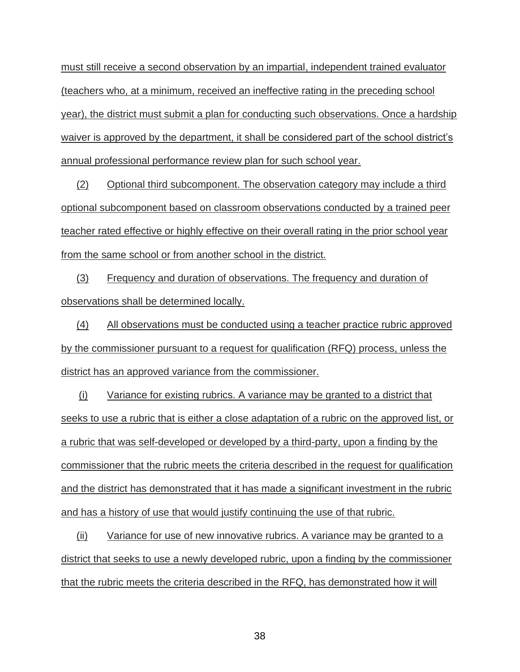must still receive a second observation by an impartial, independent trained evaluator (teachers who, at a minimum, received an ineffective rating in the preceding school year), the district must submit a plan for conducting such observations. Once a hardship waiver is approved by the department, it shall be considered part of the school district's annual professional performance review plan for such school year.

(2) Optional third subcomponent. The observation category may include a third optional subcomponent based on classroom observations conducted by a trained peer teacher rated effective or highly effective on their overall rating in the prior school year from the same school or from another school in the district.

(3) Frequency and duration of observations. The frequency and duration of observations shall be determined locally.

(4) All observations must be conducted using a teacher practice rubric approved by the commissioner pursuant to a request for qualification (RFQ) process, unless the district has an approved variance from the commissioner.

(i) Variance for existing rubrics. A variance may be granted to a district that seeks to use a rubric that is either a close adaptation of a rubric on the approved list, or a rubric that was self-developed or developed by a third-party, upon a finding by the commissioner that the rubric meets the criteria described in the request for qualification and the district has demonstrated that it has made a significant investment in the rubric and has a history of use that would justify continuing the use of that rubric.

(ii) Variance for use of new innovative rubrics. A variance may be granted to a district that seeks to use a newly developed rubric, upon a finding by the commissioner that the rubric meets the criteria described in the RFQ, has demonstrated how it will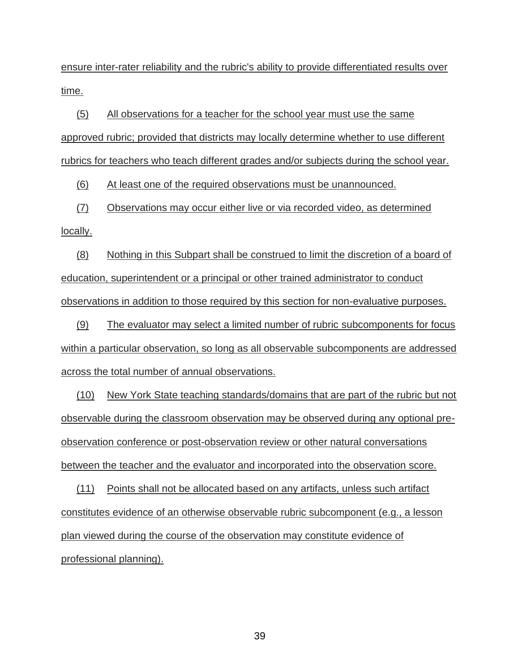ensure inter-rater reliability and the rubric's ability to provide differentiated results over time.

(5) All observations for a teacher for the school year must use the same approved rubric; provided that districts may locally determine whether to use different rubrics for teachers who teach different grades and/or subjects during the school year.

(6) At least one of the required observations must be unannounced.

(7) Observations may occur either live or via recorded video, as determined locally.

(8) Nothing in this Subpart shall be construed to limit the discretion of a board of education, superintendent or a principal or other trained administrator to conduct observations in addition to those required by this section for non-evaluative purposes.

(9) The evaluator may select a limited number of rubric subcomponents for focus within a particular observation, so long as all observable subcomponents are addressed across the total number of annual observations.

(10) New York State teaching standards/domains that are part of the rubric but not observable during the classroom observation may be observed during any optional preobservation conference or post-observation review or other natural conversations between the teacher and the evaluator and incorporated into the observation score.

(11) Points shall not be allocated based on any artifacts, unless such artifact constitutes evidence of an otherwise observable rubric subcomponent (e.g., a lesson plan viewed during the course of the observation may constitute evidence of professional planning).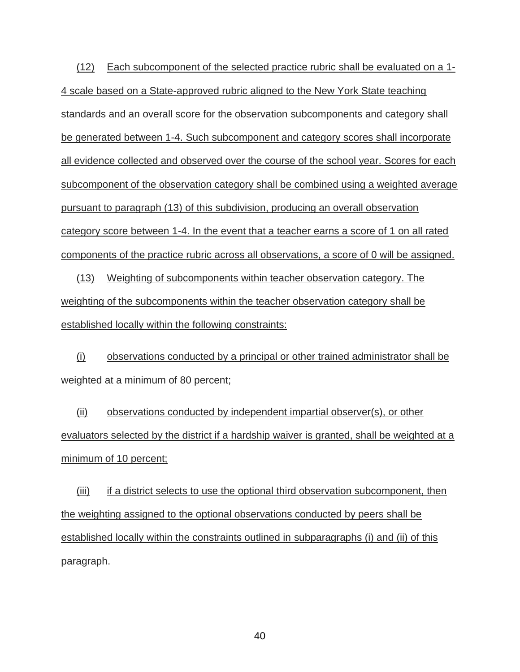(12) Each subcomponent of the selected practice rubric shall be evaluated on a 1- 4 scale based on a State-approved rubric aligned to the New York State teaching standards and an overall score for the observation subcomponents and category shall be generated between 1-4. Such subcomponent and category scores shall incorporate all evidence collected and observed over the course of the school year. Scores for each subcomponent of the observation category shall be combined using a weighted average pursuant to paragraph (13) of this subdivision, producing an overall observation category score between 1-4. In the event that a teacher earns a score of 1 on all rated components of the practice rubric across all observations, a score of 0 will be assigned.

(13) Weighting of subcomponents within teacher observation category. The weighting of the subcomponents within the teacher observation category shall be established locally within the following constraints:

(i) observations conducted by a principal or other trained administrator shall be weighted at a minimum of 80 percent;

(ii) observations conducted by independent impartial observer(s), or other evaluators selected by the district if a hardship waiver is granted, shall be weighted at a minimum of 10 percent;

(iii) if a district selects to use the optional third observation subcomponent, then the weighting assigned to the optional observations conducted by peers shall be established locally within the constraints outlined in subparagraphs (i) and (ii) of this paragraph.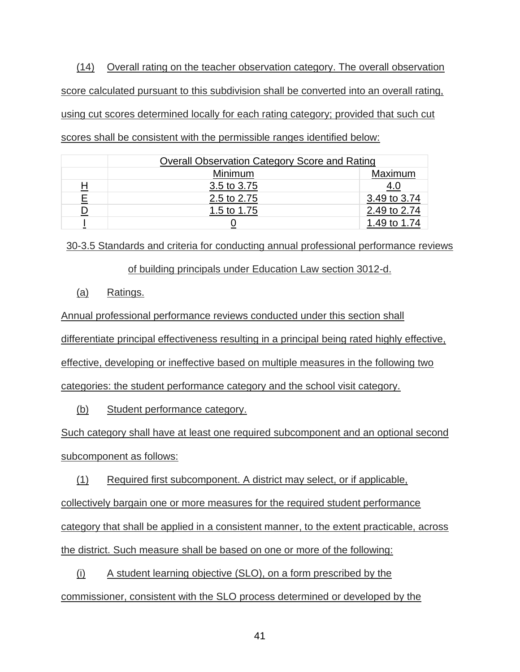(14) Overall rating on the teacher observation category. The overall observation score calculated pursuant to this subdivision shall be converted into an overall rating, using cut scores determined locally for each rating category; provided that such cut scores shall be consistent with the permissible ranges identified below:

|   | <b>Overall Observation Category Score and Rating</b> |              |  |  |
|---|------------------------------------------------------|--------------|--|--|
|   | Maximum<br>Minimum                                   |              |  |  |
| H | 3.5 to 3.75                                          | 4.U          |  |  |
| Ε | 2.5 to 2.75                                          | 3.49 to 3.74 |  |  |
| D | 1.5 to 1.75                                          | 2.49 to 2.74 |  |  |
|   |                                                      | 1.49 to 1.74 |  |  |

30-3.5 Standards and criteria for conducting annual professional performance reviews

of building principals under Education Law section 3012-d.

## (a) Ratings.

Annual professional performance reviews conducted under this section shall differentiate principal effectiveness resulting in a principal being rated highly effective, effective, developing or ineffective based on multiple measures in the following two categories: the student performance category and the school visit category.

(b) Student performance category.

Such category shall have at least one required subcomponent and an optional second subcomponent as follows:

(1) Required first subcomponent. A district may select, or if applicable, collectively bargain one or more measures for the required student performance category that shall be applied in a consistent manner, to the extent practicable, across the district. Such measure shall be based on one or more of the following:

(i) A student learning objective (SLO), on a form prescribed by the commissioner, consistent with the SLO process determined or developed by the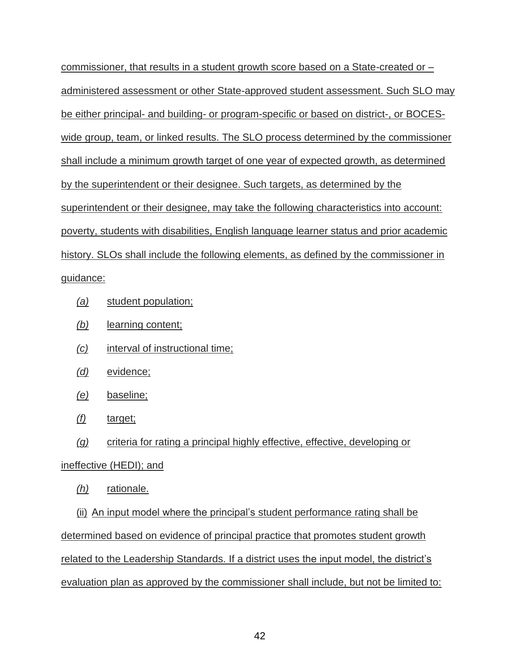commissioner, that results in a student growth score based on a State-created or – administered assessment or other State-approved student assessment. Such SLO may be either principal- and building- or program-specific or based on district-, or BOCESwide group, team, or linked results. The SLO process determined by the commissioner shall include a minimum growth target of one year of expected growth, as determined by the superintendent or their designee. Such targets, as determined by the superintendent or their designee, may take the following characteristics into account: poverty, students with disabilities, English language learner status and prior academic history. SLOs shall include the following elements, as defined by the commissioner in guidance:

- *(a)* student population;
- *(b)* learning content;
- *(c)* interval of instructional time;
- *(d)* evidence;
- *(e)* baseline;
- *(f)* target;
- *(g)* criteria for rating a principal highly effective, effective, developing or

# ineffective (HEDI); and

*(h)* rationale.

(ii) An input model where the principal's student performance rating shall be determined based on evidence of principal practice that promotes student growth related to the Leadership Standards. If a district uses the input model, the district's evaluation plan as approved by the commissioner shall include, but not be limited to: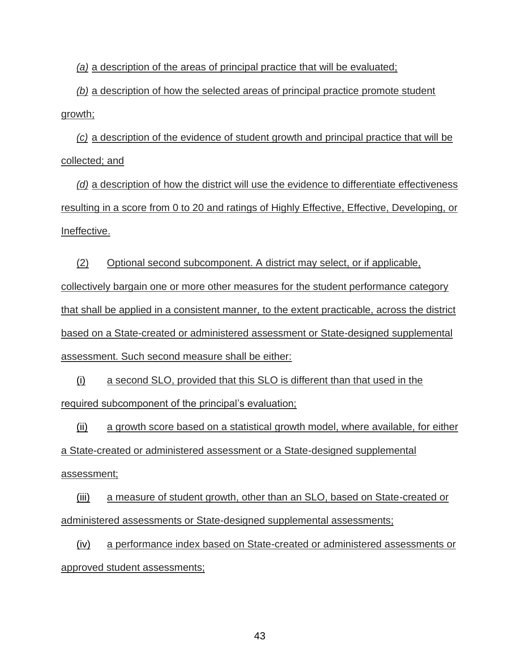*(a)* a description of the areas of principal practice that will be evaluated;

*(b)* a description of how the selected areas of principal practice promote student growth;

*(c)* a description of the evidence of student growth and principal practice that will be collected; and

*(d)* a description of how the district will use the evidence to differentiate effectiveness resulting in a score from 0 to 20 and ratings of Highly Effective, Effective, Developing, or Ineffective.

(2) Optional second subcomponent. A district may select, or if applicable, collectively bargain one or more other measures for the student performance category that shall be applied in a consistent manner, to the extent practicable, across the district based on a State-created or administered assessment or State-designed supplemental assessment. Such second measure shall be either:

(i) a second SLO, provided that this SLO is different than that used in the required subcomponent of the principal's evaluation;

(ii) a growth score based on a statistical growth model, where available, for either a State-created or administered assessment or a State-designed supplemental assessment;

(iii) a measure of student growth, other than an SLO, based on State-created or administered assessments or State-designed supplemental assessments;

(iv) a performance index based on State-created or administered assessments or approved student assessments;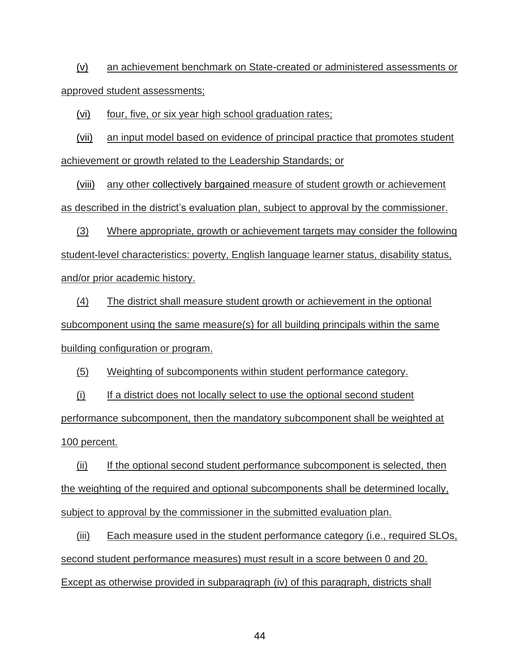(v) an achievement benchmark on State-created or administered assessments or approved student assessments;

(vi) four, five, or six year high school graduation rates;

(vii) an input model based on evidence of principal practice that promotes student achievement or growth related to the Leadership Standards; or

(viii) any other collectively bargained measure of student growth or achievement as described in the district's evaluation plan, subject to approval by the commissioner.

(3) Where appropriate, growth or achievement targets may consider the following student-level characteristics: poverty, English language learner status, disability status, and/or prior academic history.

(4) The district shall measure student growth or achievement in the optional subcomponent using the same measure(s) for all building principals within the same building configuration or program.

(5) Weighting of subcomponents within student performance category.

(i) If a district does not locally select to use the optional second student performance subcomponent, then the mandatory subcomponent shall be weighted at 100 percent.

(ii) If the optional second student performance subcomponent is selected, then the weighting of the required and optional subcomponents shall be determined locally, subject to approval by the commissioner in the submitted evaluation plan.

(iii) Each measure used in the student performance category (i.e., required SLOs, second student performance measures) must result in a score between 0 and 20. Except as otherwise provided in subparagraph (iv) of this paragraph, districts shall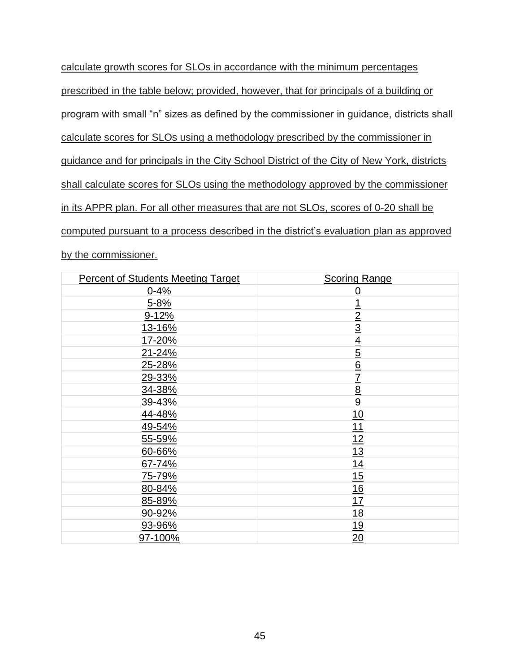calculate growth scores for SLOs in accordance with the minimum percentages prescribed in the table below; provided, however, that for principals of a building or program with small "n" sizes as defined by the commissioner in guidance, districts shall calculate scores for SLOs using a methodology prescribed by the commissioner in guidance and for principals in the City School District of the City of New York, districts shall calculate scores for SLOs using the methodology approved by the commissioner in its APPR plan. For all other measures that are not SLOs, scores of 0-20 shall be computed pursuant to a process described in the district's evaluation plan as approved by the commissioner.

| <b>Percent of Students Meeting Target</b> | <b>Scoring Range</b> |
|-------------------------------------------|----------------------|
| $0 - 4%$                                  | $\overline{0}$       |
| $5 - 8%$                                  | $\overline{1}$       |
| $9 - 12%$                                 | $\overline{2}$       |
| 13-16%                                    | $\overline{3}$       |
| 17-20%                                    | $\overline{4}$       |
| 21-24%                                    | $\overline{5}$       |
| 25-28%                                    | $\underline{6}$      |
| 29-33%                                    | $\overline{1}$       |
| 34-38%                                    | $\underline{8}$      |
| 39-43%                                    | $\overline{9}$       |
| 44-48%                                    | 10                   |
| 49-54%                                    | <u>11</u>            |
| 55-59%                                    | 12                   |
| 60-66%                                    | 13                   |
| 67-74%                                    | 14                   |
| 75-79%                                    | 15                   |
| 80-84%                                    | 16                   |
| 85-89%                                    | 17                   |
| 90-92%                                    | 18                   |
| 93-96%                                    | 19                   |
| 97-100%                                   | 20                   |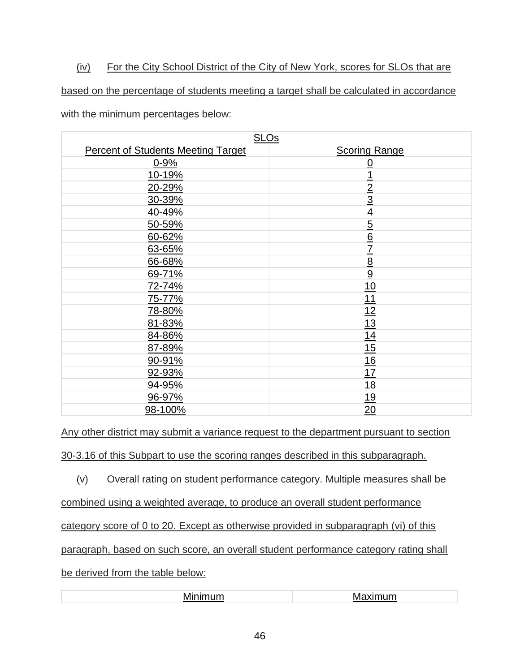# (iv) For the City School District of the City of New York, scores for SLOs that are

based on the percentage of students meeting a target shall be calculated in accordance

with the minimum percentages below:

| <b>SLOs</b>                               |                             |  |  |
|-------------------------------------------|-----------------------------|--|--|
| <b>Percent of Students Meeting Target</b> | <b>Scoring Range</b>        |  |  |
| $0 - 9%$                                  | $\overline{0}$              |  |  |
| 10-19%                                    | <u>1</u>                    |  |  |
| 20-29%                                    | $\overline{2}$              |  |  |
| 30-39%                                    | $\overline{3}$              |  |  |
| 40-49%                                    |                             |  |  |
| 50-59%                                    | $\frac{4}{5}$ $\frac{6}{6}$ |  |  |
| 60-62%                                    |                             |  |  |
| 63-65%                                    | $\overline{1}$              |  |  |
| 66-68%                                    | $\frac{8}{9}$               |  |  |
| 69-71%                                    |                             |  |  |
| 72-74%                                    | 10                          |  |  |
| 75-77%                                    | 11                          |  |  |
| 78-80%                                    | 12                          |  |  |
| 81-83%                                    | 13                          |  |  |
| 84-86%                                    | 14                          |  |  |
| 87-89%                                    | 15                          |  |  |
| 90-91%                                    | 16                          |  |  |
| 92-93%                                    | 17                          |  |  |
| 94-95%                                    | <u>18</u>                   |  |  |
| 96-97%                                    | <u>19</u>                   |  |  |
| 98-100%                                   | 20                          |  |  |

Any other district may submit a variance request to the department pursuant to section

30-3.16 of this Subpart to use the scoring ranges described in this subparagraph.

(v) Overall rating on student performance category. Multiple measures shall be

combined using a weighted average, to produce an overall student performance

category score of 0 to 20. Except as otherwise provided in subparagraph (vi) of this

paragraph, based on such score, an overall student performance category rating shall

be derived from the table below:

| . . | " |
|-----|---|
|     |   |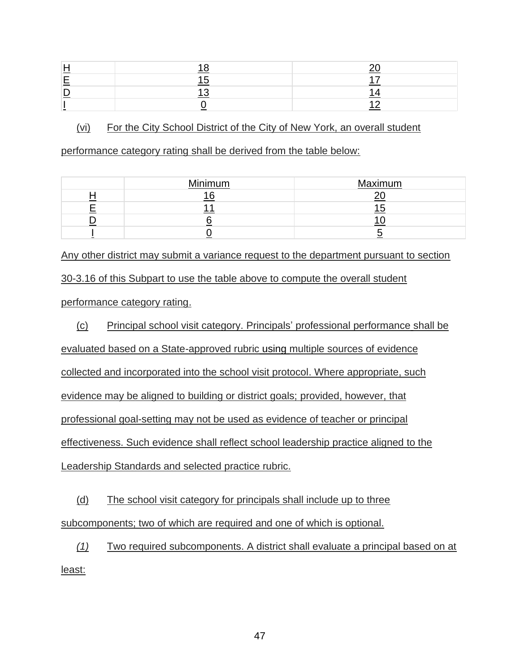### (vi) For the City School District of the City of New York, an overall student

performance category rating shall be derived from the table below:

| Minimum | Maximum |
|---------|---------|
| $\sim$  |         |
|         |         |
|         |         |
|         |         |

Any other district may submit a variance request to the department pursuant to section 30-3.16 of this Subpart to use the table above to compute the overall student performance category rating.

(c) Principal school visit category. Principals' professional performance shall be evaluated based on a State-approved rubric using multiple sources of evidence collected and incorporated into the school visit protocol. Where appropriate, such evidence may be aligned to building or district goals; provided, however, that professional goal-setting may not be used as evidence of teacher or principal effectiveness. Such evidence shall reflect school leadership practice aligned to the Leadership Standards and selected practice rubric.

(d) The school visit category for principals shall include up to three subcomponents; two of which are required and one of which is optional.

*(1)* Two required subcomponents. A district shall evaluate a principal based on at least: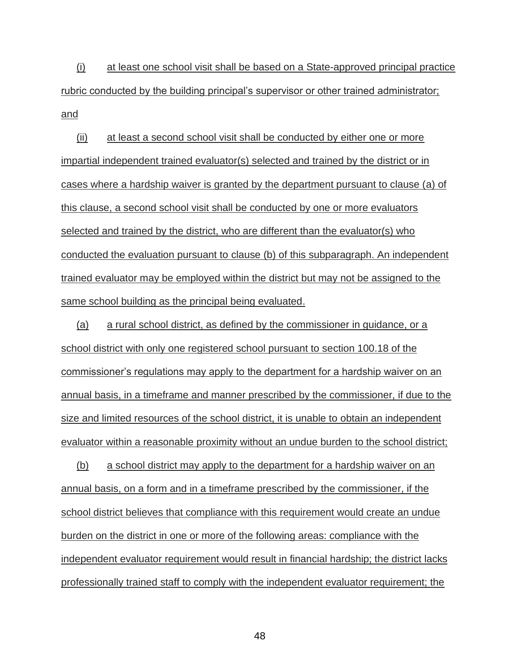(i) at least one school visit shall be based on a State-approved principal practice rubric conducted by the building principal's supervisor or other trained administrator; and

(ii) at least a second school visit shall be conducted by either one or more impartial independent trained evaluator(s) selected and trained by the district or in cases where a hardship waiver is granted by the department pursuant to clause (a) of this clause, a second school visit shall be conducted by one or more evaluators selected and trained by the district, who are different than the evaluator(s) who conducted the evaluation pursuant to clause (b) of this subparagraph. An independent trained evaluator may be employed within the district but may not be assigned to the same school building as the principal being evaluated.

(a) a rural school district, as defined by the commissioner in guidance, or a school district with only one registered school pursuant to section 100.18 of the commissioner's regulations may apply to the department for a hardship waiver on an annual basis, in a timeframe and manner prescribed by the commissioner, if due to the size and limited resources of the school district, it is unable to obtain an independent evaluator within a reasonable proximity without an undue burden to the school district;

(b) a school district may apply to the department for a hardship waiver on an annual basis, on a form and in a timeframe prescribed by the commissioner, if the school district believes that compliance with this requirement would create an undue burden on the district in one or more of the following areas: compliance with the independent evaluator requirement would result in financial hardship; the district lacks professionally trained staff to comply with the independent evaluator requirement; the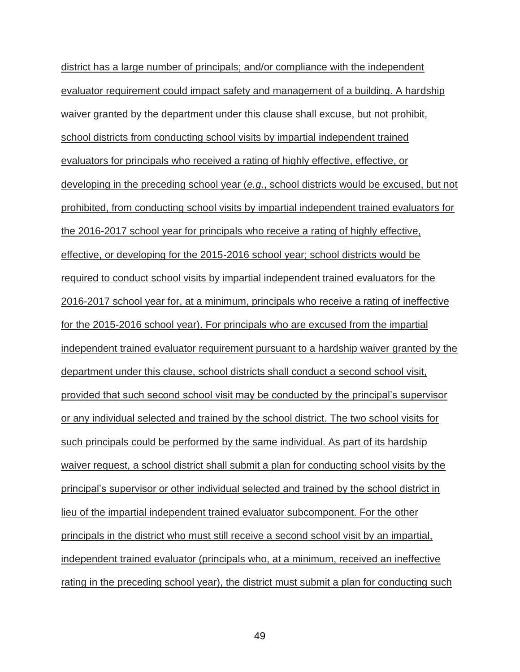district has a large number of principals; and/or compliance with the independent evaluator requirement could impact safety and management of a building. A hardship waiver granted by the department under this clause shall excuse, but not prohibit, school districts from conducting school visits by impartial independent trained evaluators for principals who received a rating of highly effective, effective, or developing in the preceding school year (*e.g.*, school districts would be excused, but not prohibited, from conducting school visits by impartial independent trained evaluators for the 2016-2017 school year for principals who receive a rating of highly effective, effective, or developing for the 2015-2016 school year; school districts would be required to conduct school visits by impartial independent trained evaluators for the 2016-2017 school year for, at a minimum, principals who receive a rating of ineffective for the 2015-2016 school year). For principals who are excused from the impartial independent trained evaluator requirement pursuant to a hardship waiver granted by the department under this clause, school districts shall conduct a second school visit, provided that such second school visit may be conducted by the principal's supervisor or any individual selected and trained by the school district. The two school visits for such principals could be performed by the same individual. As part of its hardship waiver request, a school district shall submit a plan for conducting school visits by the principal's supervisor or other individual selected and trained by the school district in lieu of the impartial independent trained evaluator subcomponent. For the other principals in the district who must still receive a second school visit by an impartial, independent trained evaluator (principals who, at a minimum, received an ineffective rating in the preceding school year), the district must submit a plan for conducting such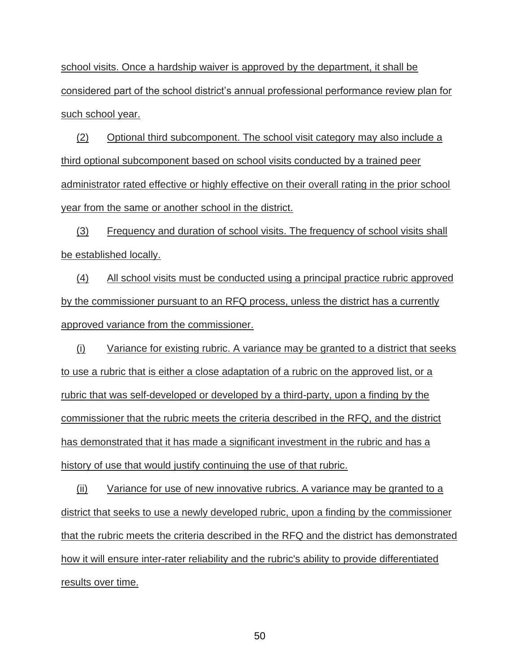school visits. Once a hardship waiver is approved by the department, it shall be considered part of the school district's annual professional performance review plan for such school year.

(2) Optional third subcomponent. The school visit category may also include a third optional subcomponent based on school visits conducted by a trained peer administrator rated effective or highly effective on their overall rating in the prior school year from the same or another school in the district.

(3) Frequency and duration of school visits. The frequency of school visits shall be established locally.

(4) All school visits must be conducted using a principal practice rubric approved by the commissioner pursuant to an RFQ process, unless the district has a currently approved variance from the commissioner.

(i) Variance for existing rubric. A variance may be granted to a district that seeks to use a rubric that is either a close adaptation of a rubric on the approved list, or a rubric that was self-developed or developed by a third-party, upon a finding by the commissioner that the rubric meets the criteria described in the RFQ, and the district has demonstrated that it has made a significant investment in the rubric and has a history of use that would justify continuing the use of that rubric.

(ii) Variance for use of new innovative rubrics. A variance may be granted to a district that seeks to use a newly developed rubric, upon a finding by the commissioner that the rubric meets the criteria described in the RFQ and the district has demonstrated how it will ensure inter-rater reliability and the rubric's ability to provide differentiated results over time.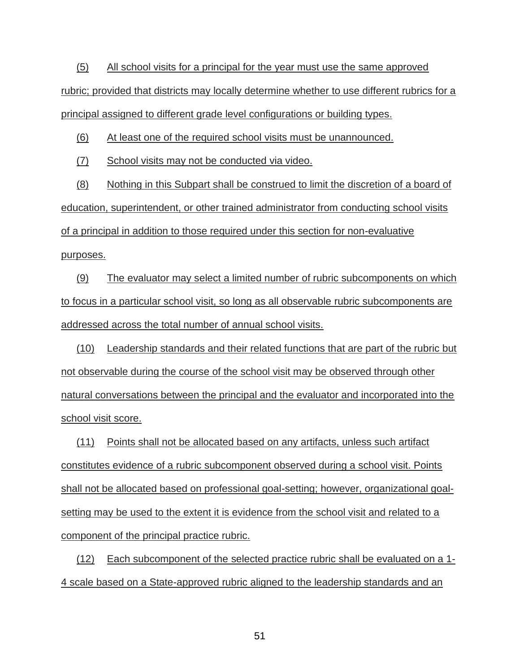(5) All school visits for a principal for the year must use the same approved rubric; provided that districts may locally determine whether to use different rubrics for a principal assigned to different grade level configurations or building types.

(6) At least one of the required school visits must be unannounced.

(7) School visits may not be conducted via video.

(8) Nothing in this Subpart shall be construed to limit the discretion of a board of education, superintendent, or other trained administrator from conducting school visits of a principal in addition to those required under this section for non-evaluative purposes.

(9) The evaluator may select a limited number of rubric subcomponents on which to focus in a particular school visit, so long as all observable rubric subcomponents are addressed across the total number of annual school visits.

(10) Leadership standards and their related functions that are part of the rubric but not observable during the course of the school visit may be observed through other natural conversations between the principal and the evaluator and incorporated into the school visit score.

(11) Points shall not be allocated based on any artifacts, unless such artifact constitutes evidence of a rubric subcomponent observed during a school visit. Points shall not be allocated based on professional goal-setting; however, organizational goalsetting may be used to the extent it is evidence from the school visit and related to a component of the principal practice rubric.

(12) Each subcomponent of the selected practice rubric shall be evaluated on a 1- 4 scale based on a State-approved rubric aligned to the leadership standards and an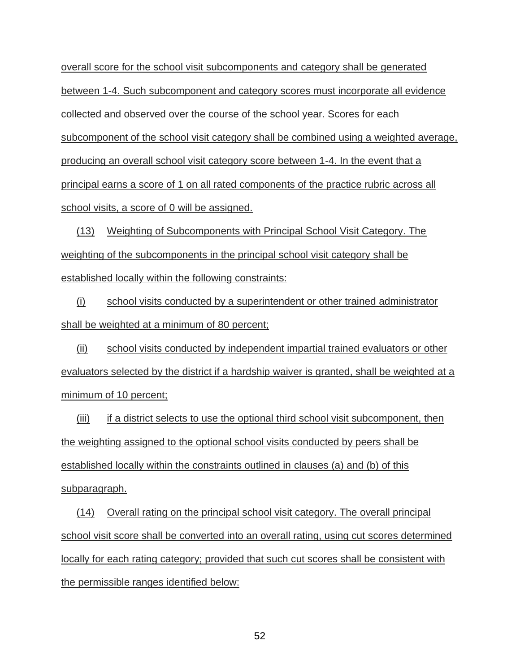overall score for the school visit subcomponents and category shall be generated between 1-4. Such subcomponent and category scores must incorporate all evidence collected and observed over the course of the school year. Scores for each subcomponent of the school visit category shall be combined using a weighted average, producing an overall school visit category score between 1-4. In the event that a principal earns a score of 1 on all rated components of the practice rubric across all school visits, a score of 0 will be assigned.

(13) Weighting of Subcomponents with Principal School Visit Category. The weighting of the subcomponents in the principal school visit category shall be established locally within the following constraints:

(i) school visits conducted by a superintendent or other trained administrator shall be weighted at a minimum of 80 percent;

(ii) school visits conducted by independent impartial trained evaluators or other evaluators selected by the district if a hardship waiver is granted, shall be weighted at a minimum of 10 percent;

(iii) if a district selects to use the optional third school visit subcomponent, then the weighting assigned to the optional school visits conducted by peers shall be established locally within the constraints outlined in clauses (a) and (b) of this subparagraph.

(14) Overall rating on the principal school visit category. The overall principal school visit score shall be converted into an overall rating, using cut scores determined locally for each rating category; provided that such cut scores shall be consistent with the permissible ranges identified below: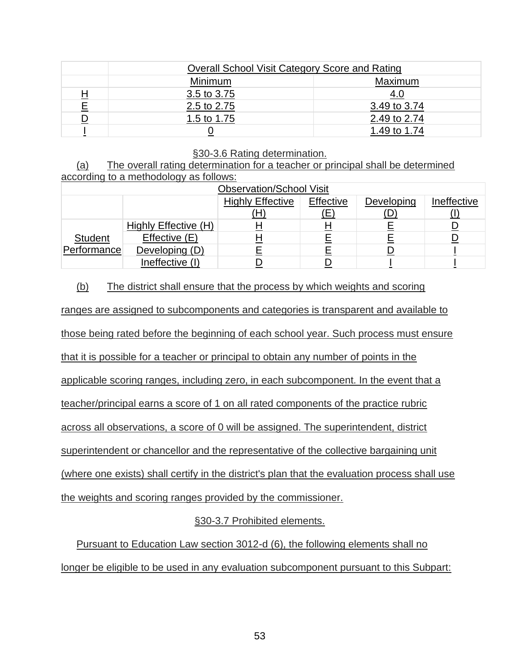|          |             | Overall School Visit Category Score and Rating |  |  |
|----------|-------------|------------------------------------------------|--|--|
|          | Minimum     | Maximum                                        |  |  |
| <u>H</u> | 3.5 to 3.75 | <u>4.0</u>                                     |  |  |
| E        | 2.5 to 2.75 | 3.49 to 3.74                                   |  |  |
|          | 1.5 to 1.75 | 2.49 to 2.74                                   |  |  |
|          |             | 1.49 to 1.74                                   |  |  |

#### §30-3.6 Rating determination.

### (a) The overall rating determination for a teacher or principal shall be determined according to a methodology as follows:

| <b>Observation/School Visit</b> |                      |                         |           |            |             |
|---------------------------------|----------------------|-------------------------|-----------|------------|-------------|
|                                 |                      | <b>Highly Effective</b> | Effective | Developing | Ineffective |
|                                 |                      | (H)                     | (E        | (D)        |             |
|                                 | Highly Effective (H) |                         |           |            |             |
| <b>Student</b>                  | Effective (E)        |                         |           |            |             |
| Performance                     | Developing (D)       |                         |           |            |             |
|                                 | Ineffective (I)      |                         |           |            |             |

### (b) The district shall ensure that the process by which weights and scoring

ranges are assigned to subcomponents and categories is transparent and available to

those being rated before the beginning of each school year. Such process must ensure

that it is possible for a teacher or principal to obtain any number of points in the

applicable scoring ranges, including zero, in each subcomponent. In the event that a

teacher/principal earns a score of 1 on all rated components of the practice rubric

across all observations, a score of 0 will be assigned. The superintendent, district

superintendent or chancellor and the representative of the collective bargaining unit

(where one exists) shall certify in the district's plan that the evaluation process shall use

the weights and scoring ranges provided by the commissioner.

# §30-3.7 Prohibited elements.

Pursuant to Education Law section 3012-d (6), the following elements shall no longer be eligible to be used in any evaluation subcomponent pursuant to this Subpart: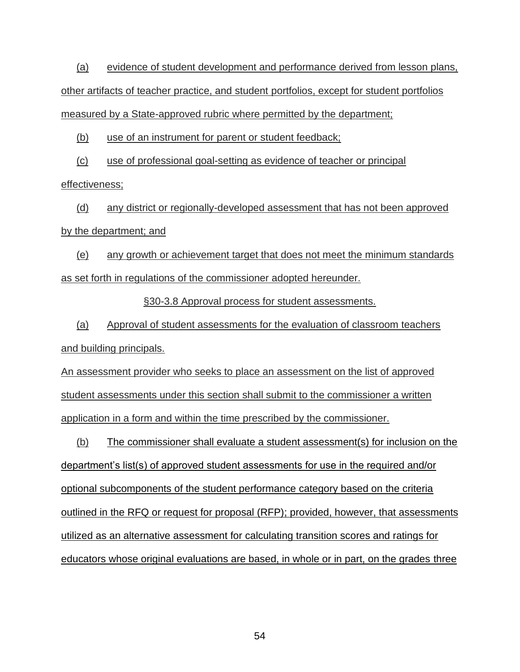(a) evidence of student development and performance derived from lesson plans, other artifacts of teacher practice, and student portfolios, except for student portfolios measured by a State-approved rubric where permitted by the department;

(b) use of an instrument for parent or student feedback;

(c) use of professional goal-setting as evidence of teacher or principal effectiveness;

(d) any district or regionally-developed assessment that has not been approved by the department; and

(e) any growth or achievement target that does not meet the minimum standards as set forth in regulations of the commissioner adopted hereunder.

§30-3.8 Approval process for student assessments.

(a) Approval of student assessments for the evaluation of classroom teachers and building principals.

An assessment provider who seeks to place an assessment on the list of approved student assessments under this section shall submit to the commissioner a written application in a form and within the time prescribed by the commissioner.

(b) The commissioner shall evaluate a student assessment(s) for inclusion on the department's list(s) of approved student assessments for use in the required and/or optional subcomponents of the student performance category based on the criteria outlined in the RFQ or request for proposal (RFP); provided, however, that assessments utilized as an alternative assessment for calculating transition scores and ratings for educators whose original evaluations are based, in whole or in part, on the grades three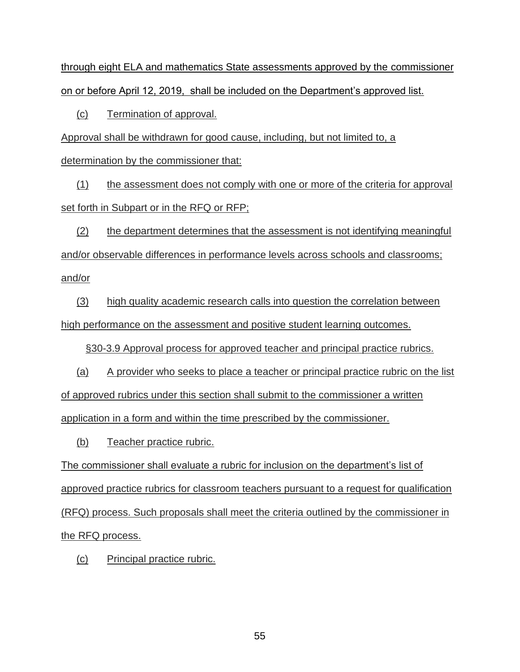through eight ELA and mathematics State assessments approved by the commissioner on or before April 12, 2019, shall be included on the Department's approved list.

(c) Termination of approval.

Approval shall be withdrawn for good cause, including, but not limited to, a

determination by the commissioner that:

(1) the assessment does not comply with one or more of the criteria for approval set forth in Subpart or in the RFQ or RFP;

(2) the department determines that the assessment is not identifying meaningful and/or observable differences in performance levels across schools and classrooms; and/or

(3) high quality academic research calls into question the correlation between high performance on the assessment and positive student learning outcomes.

§30-3.9 Approval process for approved teacher and principal practice rubrics.

(a) A provider who seeks to place a teacher or principal practice rubric on the list of approved rubrics under this section shall submit to the commissioner a written application in a form and within the time prescribed by the commissioner.

(b) Teacher practice rubric.

The commissioner shall evaluate a rubric for inclusion on the department's list of approved practice rubrics for classroom teachers pursuant to a request for qualification (RFQ) process. Such proposals shall meet the criteria outlined by the commissioner in the RFQ process.

(c) Principal practice rubric.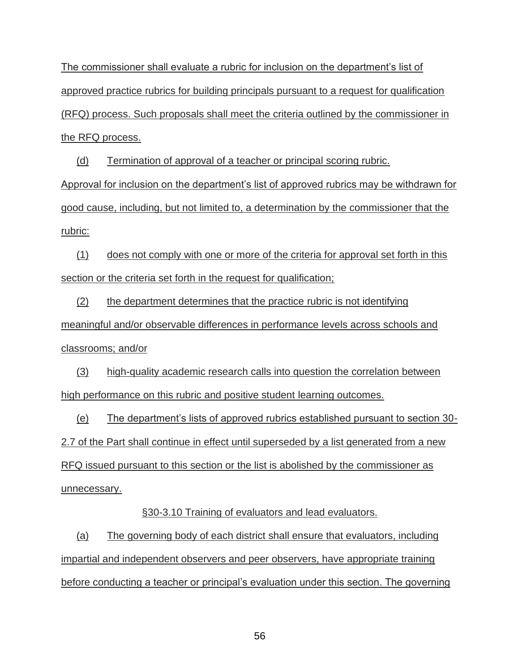The commissioner shall evaluate a rubric for inclusion on the department's list of approved practice rubrics for building principals pursuant to a request for qualification (RFQ) process. Such proposals shall meet the criteria outlined by the commissioner in the RFQ process.

(d) Termination of approval of a teacher or principal scoring rubric.

Approval for inclusion on the department's list of approved rubrics may be withdrawn for good cause, including, but not limited to, a determination by the commissioner that the rubric:

(1) does not comply with one or more of the criteria for approval set forth in this section or the criteria set forth in the request for qualification;

(2) the department determines that the practice rubric is not identifying meaningful and/or observable differences in performance levels across schools and classrooms; and/or

(3) high-quality academic research calls into question the correlation between high performance on this rubric and positive student learning outcomes.

(e) The department's lists of approved rubrics established pursuant to section 30- 2.7 of the Part shall continue in effect until superseded by a list generated from a new RFQ issued pursuant to this section or the list is abolished by the commissioner as unnecessary.

§30-3.10 Training of evaluators and lead evaluators.

(a) The governing body of each district shall ensure that evaluators, including impartial and independent observers and peer observers, have appropriate training before conducting a teacher or principal's evaluation under this section. The governing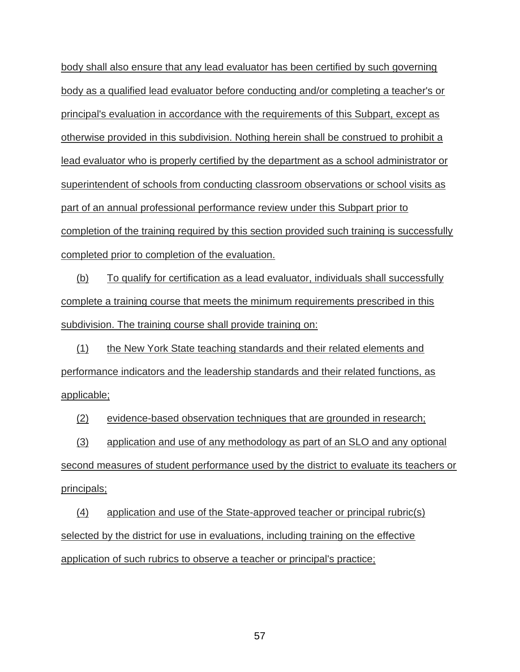body shall also ensure that any lead evaluator has been certified by such governing body as a qualified lead evaluator before conducting and/or completing a teacher's or principal's evaluation in accordance with the requirements of this Subpart, except as otherwise provided in this subdivision. Nothing herein shall be construed to prohibit a lead evaluator who is properly certified by the department as a school administrator or superintendent of schools from conducting classroom observations or school visits as part of an annual professional performance review under this Subpart prior to completion of the training required by this section provided such training is successfully completed prior to completion of the evaluation.

(b) To qualify for certification as a lead evaluator, individuals shall successfully complete a training course that meets the minimum requirements prescribed in this subdivision. The training course shall provide training on:

(1) the New York State teaching standards and their related elements and performance indicators and the leadership standards and their related functions, as applicable;

(2) evidence-based observation techniques that are grounded in research;

(3) application and use of any methodology as part of an SLO and any optional

second measures of student performance used by the district to evaluate its teachers or principals;

(4) application and use of the State-approved teacher or principal rubric(s) selected by the district for use in evaluations, including training on the effective application of such rubrics to observe a teacher or principal's practice;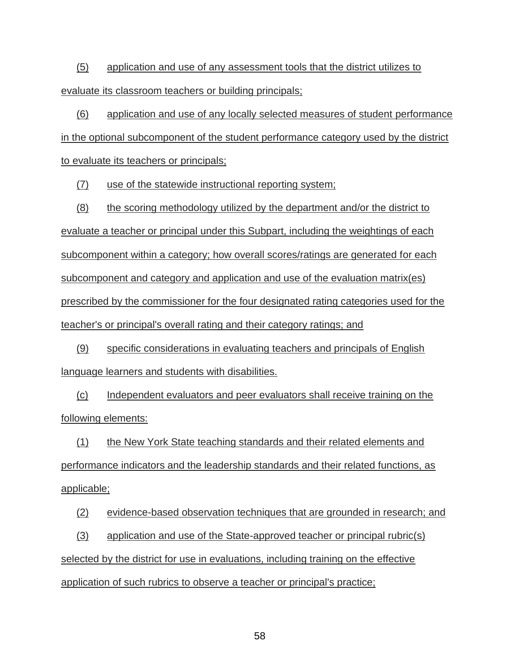(5) application and use of any assessment tools that the district utilizes to evaluate its classroom teachers or building principals;

(6) application and use of any locally selected measures of student performance in the optional subcomponent of the student performance category used by the district to evaluate its teachers or principals;

(7) use of the statewide instructional reporting system;

(8) the scoring methodology utilized by the department and/or the district to evaluate a teacher or principal under this Subpart, including the weightings of each subcomponent within a category; how overall scores/ratings are generated for each subcomponent and category and application and use of the evaluation matrix(es) prescribed by the commissioner for the four designated rating categories used for the teacher's or principal's overall rating and their category ratings; and

(9) specific considerations in evaluating teachers and principals of English language learners and students with disabilities.

(c) Independent evaluators and peer evaluators shall receive training on the following elements:

(1) the New York State teaching standards and their related elements and performance indicators and the leadership standards and their related functions, as applicable;

(2) evidence-based observation techniques that are grounded in research; and

(3) application and use of the State-approved teacher or principal rubric(s) selected by the district for use in evaluations, including training on the effective application of such rubrics to observe a teacher or principal's practice;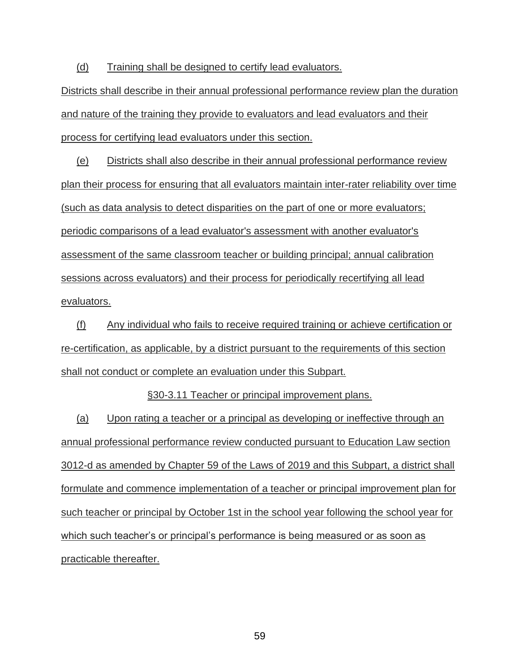(d) Training shall be designed to certify lead evaluators.

Districts shall describe in their annual professional performance review plan the duration and nature of the training they provide to evaluators and lead evaluators and their process for certifying lead evaluators under this section.

(e) Districts shall also describe in their annual professional performance review plan their process for ensuring that all evaluators maintain inter-rater reliability over time (such as data analysis to detect disparities on the part of one or more evaluators; periodic comparisons of a lead evaluator's assessment with another evaluator's assessment of the same classroom teacher or building principal; annual calibration sessions across evaluators) and their process for periodically recertifying all lead evaluators.

(f) Any individual who fails to receive required training or achieve certification or re-certification, as applicable, by a district pursuant to the requirements of this section shall not conduct or complete an evaluation under this Subpart.

§30-3.11 Teacher or principal improvement plans.

(a) Upon rating a teacher or a principal as developing or ineffective through an annual professional performance review conducted pursuant to Education Law section 3012-d as amended by Chapter 59 of the Laws of 2019 and this Subpart, a district shall formulate and commence implementation of a teacher or principal improvement plan for such teacher or principal by October 1st in the school year following the school year for which such teacher's or principal's performance is being measured or as soon as practicable thereafter.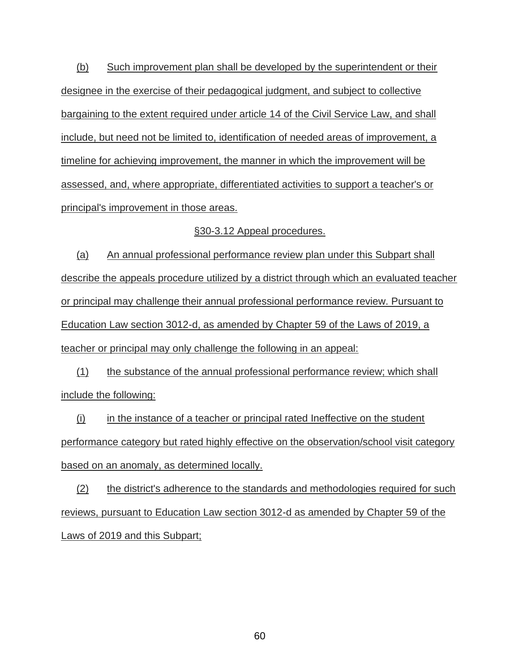(b) Such improvement plan shall be developed by the superintendent or their designee in the exercise of their pedagogical judgment, and subject to collective bargaining to the extent required under article 14 of the Civil Service Law, and shall include, but need not be limited to, identification of needed areas of improvement, a timeline for achieving improvement, the manner in which the improvement will be assessed, and, where appropriate, differentiated activities to support a teacher's or principal's improvement in those areas.

#### §30-3.12 Appeal procedures.

(a) An annual professional performance review plan under this Subpart shall describe the appeals procedure utilized by a district through which an evaluated teacher or principal may challenge their annual professional performance review. Pursuant to Education Law section 3012-d, as amended by Chapter 59 of the Laws of 2019, a teacher or principal may only challenge the following in an appeal:

(1) the substance of the annual professional performance review; which shall include the following:

 $(i)$  in the instance of a teacher or principal rated Ineffective on the student performance category but rated highly effective on the observation/school visit category based on an anomaly, as determined locally.

(2) the district's adherence to the standards and methodologies required for such reviews, pursuant to Education Law section 3012-d as amended by Chapter 59 of the Laws of 2019 and this Subpart;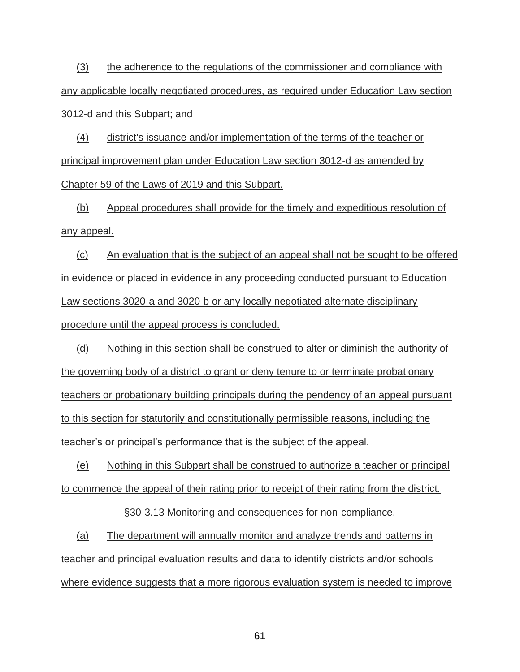(3) the adherence to the regulations of the commissioner and compliance with any applicable locally negotiated procedures, as required under Education Law section 3012-d and this Subpart; and

(4) district's issuance and/or implementation of the terms of the teacher or principal improvement plan under Education Law section 3012-d as amended by Chapter 59 of the Laws of 2019 and this Subpart.

(b) Appeal procedures shall provide for the timely and expeditious resolution of any appeal.

(c) An evaluation that is the subject of an appeal shall not be sought to be offered in evidence or placed in evidence in any proceeding conducted pursuant to Education Law sections 3020-a and 3020-b or any locally negotiated alternate disciplinary procedure until the appeal process is concluded.

(d) Nothing in this section shall be construed to alter or diminish the authority of the governing body of a district to grant or deny tenure to or terminate probationary teachers or probationary building principals during the pendency of an appeal pursuant to this section for statutorily and constitutionally permissible reasons, including the teacher's or principal's performance that is the subject of the appeal.

(e) Nothing in this Subpart shall be construed to authorize a teacher or principal to commence the appeal of their rating prior to receipt of their rating from the district.

§30-3.13 Monitoring and consequences for non-compliance.

(a) The department will annually monitor and analyze trends and patterns in teacher and principal evaluation results and data to identify districts and/or schools where evidence suggests that a more rigorous evaluation system is needed to improve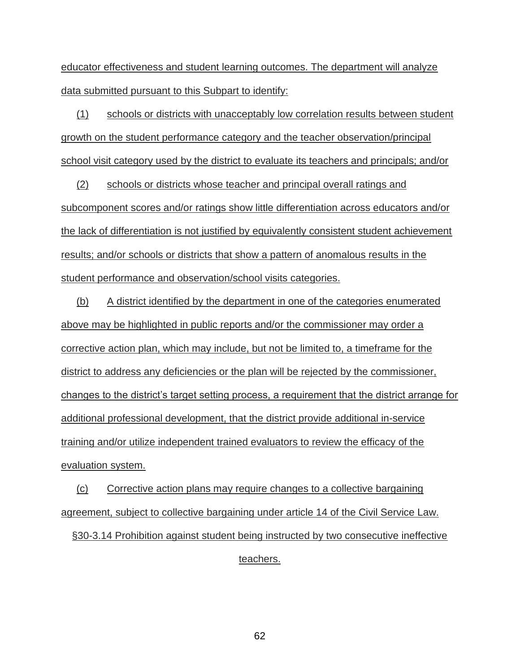educator effectiveness and student learning outcomes. The department will analyze data submitted pursuant to this Subpart to identify:

(1) schools or districts with unacceptably low correlation results between student growth on the student performance category and the teacher observation/principal school visit category used by the district to evaluate its teachers and principals; and/or

(2) schools or districts whose teacher and principal overall ratings and subcomponent scores and/or ratings show little differentiation across educators and/or the lack of differentiation is not justified by equivalently consistent student achievement results; and/or schools or districts that show a pattern of anomalous results in the student performance and observation/school visits categories.

(b) A district identified by the department in one of the categories enumerated above may be highlighted in public reports and/or the commissioner may order a corrective action plan, which may include, but not be limited to, a timeframe for the district to address any deficiencies or the plan will be rejected by the commissioner, changes to the district's target setting process, a requirement that the district arrange for additional professional development, that the district provide additional in-service training and/or utilize independent trained evaluators to review the efficacy of the evaluation system.

(c) Corrective action plans may require changes to a collective bargaining agreement, subject to collective bargaining under article 14 of the Civil Service Law.

§30-3.14 Prohibition against student being instructed by two consecutive ineffective teachers.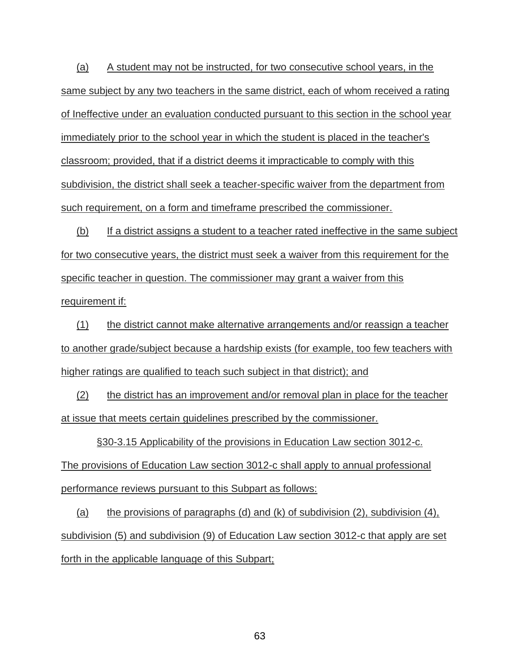(a) A student may not be instructed, for two consecutive school years, in the same subject by any two teachers in the same district, each of whom received a rating of Ineffective under an evaluation conducted pursuant to this section in the school year immediately prior to the school year in which the student is placed in the teacher's classroom; provided, that if a district deems it impracticable to comply with this subdivision, the district shall seek a teacher-specific waiver from the department from such requirement, on a form and timeframe prescribed the commissioner.

(b) If a district assigns a student to a teacher rated ineffective in the same subject for two consecutive years, the district must seek a waiver from this requirement for the specific teacher in question. The commissioner may grant a waiver from this requirement if:

(1) the district cannot make alternative arrangements and/or reassign a teacher to another grade/subject because a hardship exists (for example, too few teachers with higher ratings are qualified to teach such subject in that district); and

(2) the district has an improvement and/or removal plan in place for the teacher at issue that meets certain guidelines prescribed by the commissioner.

§30-3.15 Applicability of the provisions in Education Law section 3012-c. The provisions of Education Law section 3012-c shall apply to annual professional performance reviews pursuant to this Subpart as follows:

(a) the provisions of paragraphs (d) and (k) of subdivision  $(2)$ , subdivision  $(4)$ , subdivision (5) and subdivision (9) of Education Law section 3012-c that apply are set forth in the applicable language of this Subpart;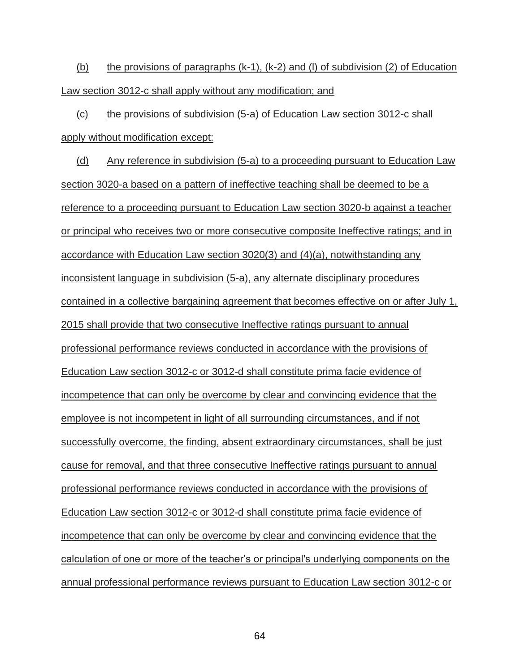(b) the provisions of paragraphs (k-1), (k-2) and (l) of subdivision (2) of Education Law section 3012-c shall apply without any modification; and

(c) the provisions of subdivision (5-a) of Education Law section 3012-c shall apply without modification except:

(d) Any reference in subdivision (5-a) to a proceeding pursuant to Education Law section 3020-a based on a pattern of ineffective teaching shall be deemed to be a reference to a proceeding pursuant to Education Law section 3020-b against a teacher or principal who receives two or more consecutive composite Ineffective ratings; and in accordance with Education Law section 3020(3) and (4)(a), notwithstanding any inconsistent language in subdivision (5-a), any alternate disciplinary procedures contained in a collective bargaining agreement that becomes effective on or after July 1, 2015 shall provide that two consecutive Ineffective ratings pursuant to annual professional performance reviews conducted in accordance with the provisions of Education Law section 3012-c or 3012-d shall constitute prima facie evidence of incompetence that can only be overcome by clear and convincing evidence that the employee is not incompetent in light of all surrounding circumstances, and if not successfully overcome, the finding, absent extraordinary circumstances, shall be just cause for removal, and that three consecutive Ineffective ratings pursuant to annual professional performance reviews conducted in accordance with the provisions of Education Law section 3012-c or 3012-d shall constitute prima facie evidence of incompetence that can only be overcome by clear and convincing evidence that the calculation of one or more of the teacher's or principal's underlying components on the annual professional performance reviews pursuant to Education Law section 3012-c or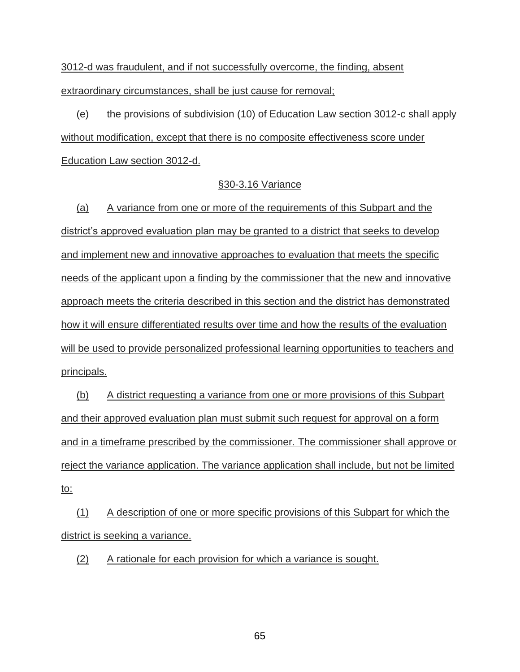3012-d was fraudulent, and if not successfully overcome, the finding, absent extraordinary circumstances, shall be just cause for removal;

(e) the provisions of subdivision (10) of Education Law section 3012-c shall apply without modification, except that there is no composite effectiveness score under Education Law section 3012-d.

#### §30-3.16 Variance

(a) A variance from one or more of the requirements of this Subpart and the district's approved evaluation plan may be granted to a district that seeks to develop and implement new and innovative approaches to evaluation that meets the specific needs of the applicant upon a finding by the commissioner that the new and innovative approach meets the criteria described in this section and the district has demonstrated how it will ensure differentiated results over time and how the results of the evaluation will be used to provide personalized professional learning opportunities to teachers and principals.

(b) A district requesting a variance from one or more provisions of this Subpart and their approved evaluation plan must submit such request for approval on a form and in a timeframe prescribed by the commissioner. The commissioner shall approve or reject the variance application. The variance application shall include, but not be limited to:

(1) A description of one or more specific provisions of this Subpart for which the district is seeking a variance.

(2) A rationale for each provision for which a variance is sought.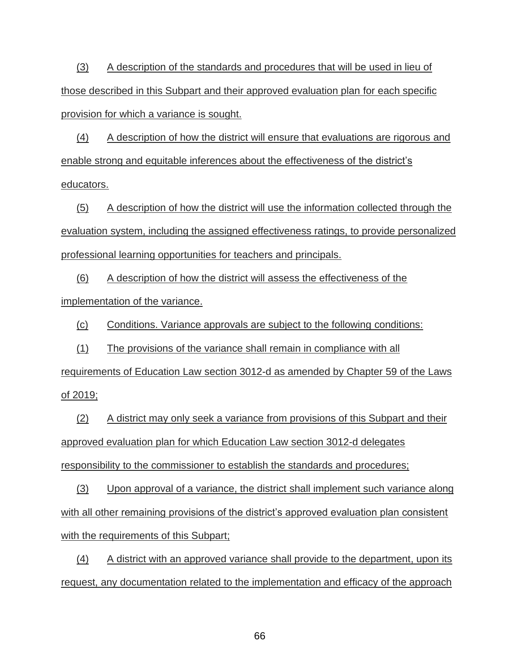(3) A description of the standards and procedures that will be used in lieu of those described in this Subpart and their approved evaluation plan for each specific provision for which a variance is sought.

(4) A description of how the district will ensure that evaluations are rigorous and enable strong and equitable inferences about the effectiveness of the district's educators.

(5) A description of how the district will use the information collected through the evaluation system, including the assigned effectiveness ratings, to provide personalized professional learning opportunities for teachers and principals.

(6) A description of how the district will assess the effectiveness of the implementation of the variance.

(c) Conditions. Variance approvals are subject to the following conditions:

(1) The provisions of the variance shall remain in compliance with all

requirements of Education Law section 3012-d as amended by Chapter 59 of the Laws of 2019;

(2) A district may only seek a variance from provisions of this Subpart and their approved evaluation plan for which Education Law section 3012-d delegates responsibility to the commissioner to establish the standards and procedures;

(3) Upon approval of a variance, the district shall implement such variance along with all other remaining provisions of the district's approved evaluation plan consistent with the requirements of this Subpart;

(4) A district with an approved variance shall provide to the department, upon its request, any documentation related to the implementation and efficacy of the approach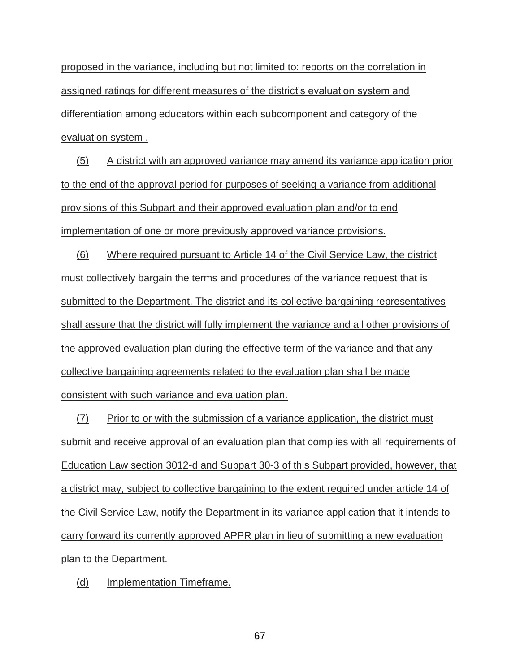proposed in the variance, including but not limited to: reports on the correlation in assigned ratings for different measures of the district's evaluation system and differentiation among educators within each subcomponent and category of the evaluation system .

(5) A district with an approved variance may amend its variance application prior to the end of the approval period for purposes of seeking a variance from additional provisions of this Subpart and their approved evaluation plan and/or to end implementation of one or more previously approved variance provisions.

(6) Where required pursuant to Article 14 of the Civil Service Law, the district must collectively bargain the terms and procedures of the variance request that is submitted to the Department. The district and its collective bargaining representatives shall assure that the district will fully implement the variance and all other provisions of the approved evaluation plan during the effective term of the variance and that any collective bargaining agreements related to the evaluation plan shall be made consistent with such variance and evaluation plan.

(7) Prior to or with the submission of a variance application, the district must submit and receive approval of an evaluation plan that complies with all requirements of Education Law section 3012-d and Subpart 30-3 of this Subpart provided, however, that a district may, subject to collective bargaining to the extent required under article 14 of the Civil Service Law, notify the Department in its variance application that it intends to carry forward its currently approved APPR plan in lieu of submitting a new evaluation plan to the Department.

(d) Implementation Timeframe.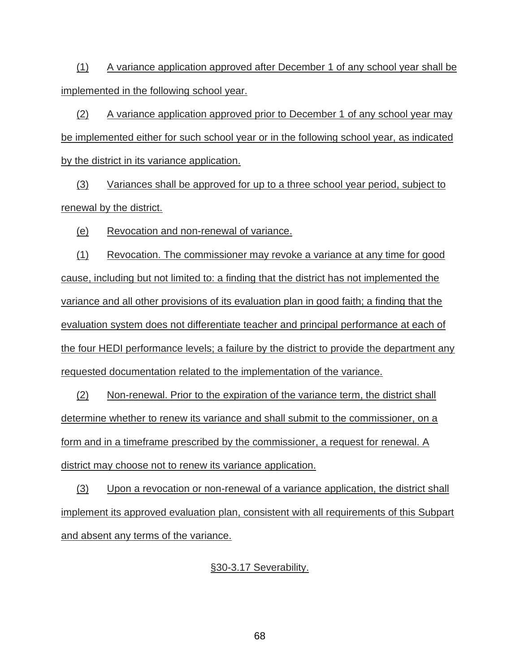(1) A variance application approved after December 1 of any school year shall be implemented in the following school year.

(2) A variance application approved prior to December 1 of any school year may be implemented either for such school year or in the following school year, as indicated by the district in its variance application.

(3) Variances shall be approved for up to a three school year period, subject to renewal by the district.

(e) Revocation and non-renewal of variance.

(1) Revocation. The commissioner may revoke a variance at any time for good cause, including but not limited to: a finding that the district has not implemented the variance and all other provisions of its evaluation plan in good faith; a finding that the evaluation system does not differentiate teacher and principal performance at each of the four HEDI performance levels; a failure by the district to provide the department any requested documentation related to the implementation of the variance.

(2) Non-renewal. Prior to the expiration of the variance term, the district shall determine whether to renew its variance and shall submit to the commissioner, on a form and in a timeframe prescribed by the commissioner, a request for renewal. A district may choose not to renew its variance application.

(3) Upon a revocation or non-renewal of a variance application, the district shall implement its approved evaluation plan, consistent with all requirements of this Subpart and absent any terms of the variance.

#### §30-3.17 Severability.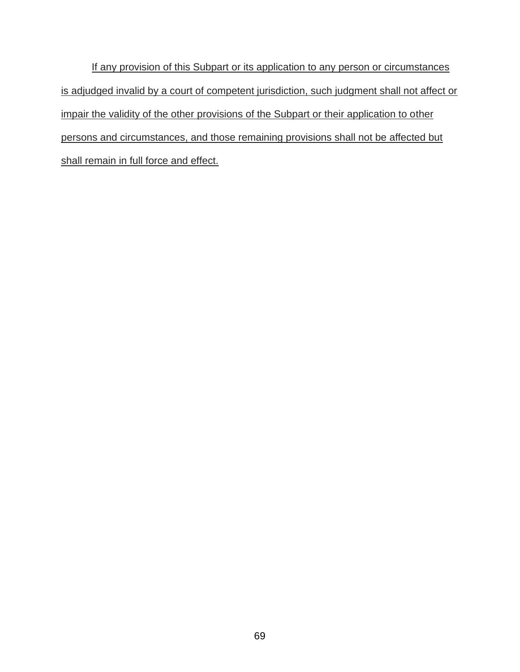If any provision of this Subpart or its application to any person or circumstances is adjudged invalid by a court of competent jurisdiction, such judgment shall not affect or impair the validity of the other provisions of the Subpart or their application to other persons and circumstances, and those remaining provisions shall not be affected but shall remain in full force and effect.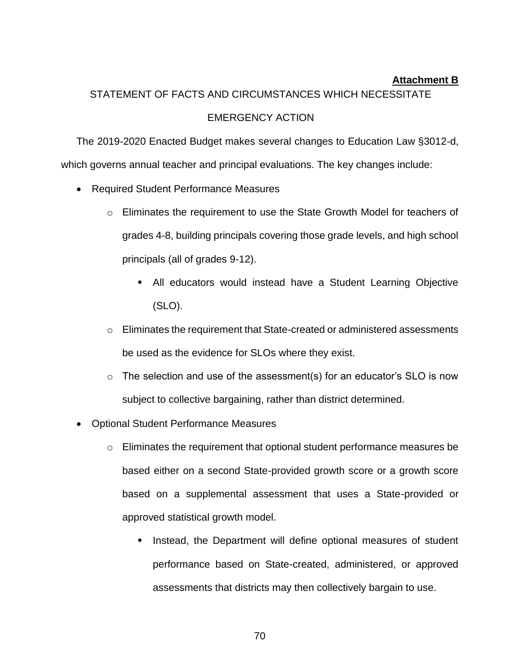### **Attachment B**

### STATEMENT OF FACTS AND CIRCUMSTANCES WHICH NECESSITATE

### EMERGENCY ACTION

The 2019-2020 Enacted Budget makes several changes to Education Law §3012-d, which governs annual teacher and principal evaluations. The key changes include:

- Required Student Performance Measures
	- $\circ$  Eliminates the requirement to use the State Growth Model for teachers of grades 4-8, building principals covering those grade levels, and high school principals (all of grades 9-12).
		- All educators would instead have a Student Learning Objective (SLO).
	- o Eliminates the requirement that State-created or administered assessments be used as the evidence for SLOs where they exist.
	- $\circ$  The selection and use of the assessment(s) for an educator's SLO is now subject to collective bargaining, rather than district determined.
- Optional Student Performance Measures
	- o Eliminates the requirement that optional student performance measures be based either on a second State-provided growth score or a growth score based on a supplemental assessment that uses a State-provided or approved statistical growth model.
		- **EXEDER** Instead, the Department will define optional measures of student performance based on State-created, administered, or approved assessments that districts may then collectively bargain to use.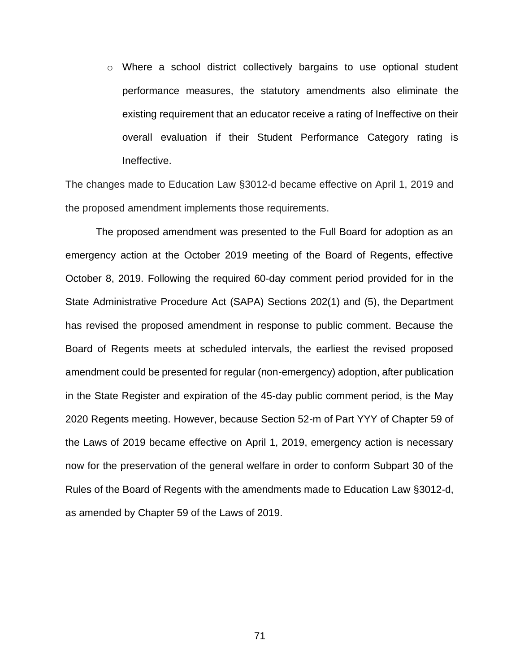o Where a school district collectively bargains to use optional student performance measures, the statutory amendments also eliminate the existing requirement that an educator receive a rating of Ineffective on their overall evaluation if their Student Performance Category rating is Ineffective.

The changes made to Education Law §3012-d became effective on April 1, 2019 and the proposed amendment implements those requirements.

The proposed amendment was presented to the Full Board for adoption as an emergency action at the October 2019 meeting of the Board of Regents, effective October 8, 2019. Following the required 60-day comment period provided for in the State Administrative Procedure Act (SAPA) Sections 202(1) and (5), the Department has revised the proposed amendment in response to public comment. Because the Board of Regents meets at scheduled intervals, the earliest the revised proposed amendment could be presented for regular (non-emergency) adoption, after publication in the State Register and expiration of the 45-day public comment period, is the May 2020 Regents meeting. However, because Section 52-m of Part YYY of Chapter 59 of the Laws of 2019 became effective on April 1, 2019, emergency action is necessary now for the preservation of the general welfare in order to conform Subpart 30 of the Rules of the Board of Regents with the amendments made to Education Law §3012-d, as amended by Chapter 59 of the Laws of 2019.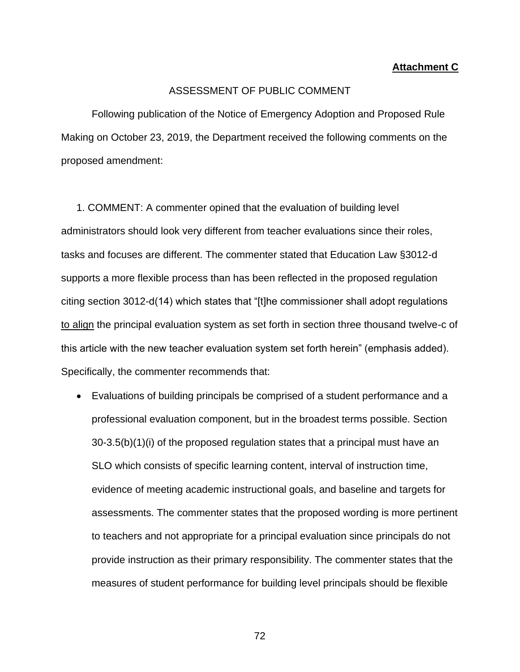#### **Attachment C**

#### ASSESSMENT OF PUBLIC COMMENT

Following publication of the Notice of Emergency Adoption and Proposed Rule Making on October 23, 2019, the Department received the following comments on the proposed amendment:

1. COMMENT: A commenter opined that the evaluation of building level administrators should look very different from teacher evaluations since their roles, tasks and focuses are different. The commenter stated that Education Law §3012-d supports a more flexible process than has been reflected in the proposed regulation citing section 3012-d(14) which states that "[t]he commissioner shall adopt regulations to align the principal evaluation system as set forth in section three thousand twelve-c of this article with the new teacher evaluation system set forth herein" (emphasis added). Specifically, the commenter recommends that:

• Evaluations of building principals be comprised of a student performance and a professional evaluation component, but in the broadest terms possible. Section 30-3.5(b)(1)(i) of the proposed regulation states that a principal must have an SLO which consists of specific learning content, interval of instruction time, evidence of meeting academic instructional goals, and baseline and targets for assessments. The commenter states that the proposed wording is more pertinent to teachers and not appropriate for a principal evaluation since principals do not provide instruction as their primary responsibility. The commenter states that the measures of student performance for building level principals should be flexible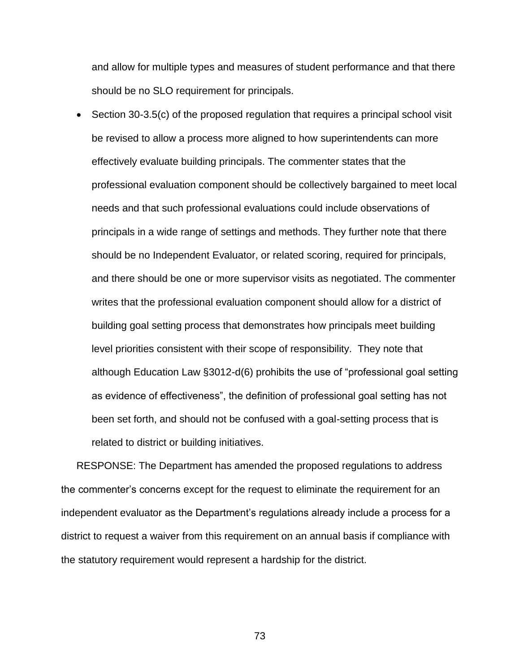and allow for multiple types and measures of student performance and that there should be no SLO requirement for principals.

• Section 30-3.5(c) of the proposed regulation that requires a principal school visit be revised to allow a process more aligned to how superintendents can more effectively evaluate building principals. The commenter states that the professional evaluation component should be collectively bargained to meet local needs and that such professional evaluations could include observations of principals in a wide range of settings and methods. They further note that there should be no Independent Evaluator, or related scoring, required for principals, and there should be one or more supervisor visits as negotiated. The commenter writes that the professional evaluation component should allow for a district of building goal setting process that demonstrates how principals meet building level priorities consistent with their scope of responsibility. They note that although Education Law §3012-d(6) prohibits the use of "professional goal setting as evidence of effectiveness", the definition of professional goal setting has not been set forth, and should not be confused with a goal-setting process that is related to district or building initiatives.

RESPONSE: The Department has amended the proposed regulations to address the commenter's concerns except for the request to eliminate the requirement for an independent evaluator as the Department's regulations already include a process for a district to request a waiver from this requirement on an annual basis if compliance with the statutory requirement would represent a hardship for the district.

73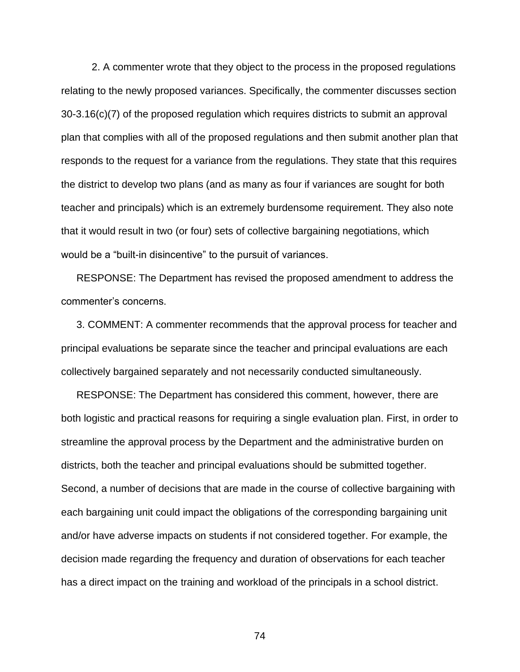2. A commenter wrote that they object to the process in the proposed regulations relating to the newly proposed variances. Specifically, the commenter discusses section 30-3.16(c)(7) of the proposed regulation which requires districts to submit an approval plan that complies with all of the proposed regulations and then submit another plan that responds to the request for a variance from the regulations. They state that this requires the district to develop two plans (and as many as four if variances are sought for both teacher and principals) which is an extremely burdensome requirement. They also note that it would result in two (or four) sets of collective bargaining negotiations, which would be a "built-in disincentive" to the pursuit of variances.

RESPONSE: The Department has revised the proposed amendment to address the commenter's concerns.

3. COMMENT: A commenter recommends that the approval process for teacher and principal evaluations be separate since the teacher and principal evaluations are each collectively bargained separately and not necessarily conducted simultaneously.

RESPONSE: The Department has considered this comment, however, there are both logistic and practical reasons for requiring a single evaluation plan. First, in order to streamline the approval process by the Department and the administrative burden on districts, both the teacher and principal evaluations should be submitted together. Second, a number of decisions that are made in the course of collective bargaining with each bargaining unit could impact the obligations of the corresponding bargaining unit and/or have adverse impacts on students if not considered together. For example, the decision made regarding the frequency and duration of observations for each teacher has a direct impact on the training and workload of the principals in a school district.

74